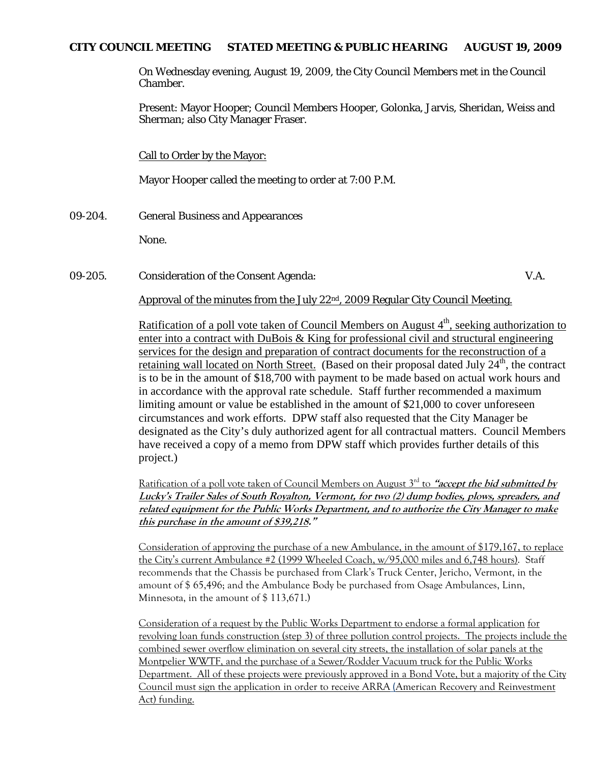# **CITY COUNCIL MEETING STATED MEETING & PUBLIC HEARING AUGUST 19, 2009**

On Wednesday evening, August 19, 2009, the City Council Members met in the Council Chamber.

Present: Mayor Hooper; Council Members Hooper, Golonka, Jarvis, Sheridan, Weiss and Sherman; also City Manager Fraser.

Call to Order by the Mayor:

Mayor Hooper called the meeting to order at 7:00 P.M.

09-204. General Business and Appearances

None.

09-205. Consideration of the Consent Agenda: V.A.

Approval of the minutes from the July  $22<sup>nd</sup>$ , 2009 Regular City Council Meeting.

Ratification of a poll vote taken of Council Members on August  $4<sup>th</sup>$ , seeking authorization to enter into a contract with DuBois & King for professional civil and structural engineering services for the design and preparation of contract documents for the reconstruction of a retaining wall located on North Street. (Based on their proposal dated July  $24<sup>th</sup>$ , the contract is to be in the amount of \$18,700 with payment to be made based on actual work hours and in accordance with the approval rate schedule. Staff further recommended a maximum limiting amount or value be established in the amount of \$21,000 to cover unforeseen circumstances and work efforts. DPW staff also requested that the City Manager be designated as the City's duly authorized agent for all contractual matters. Council Members have received a copy of a memo from DPW staff which provides further details of this project.)

Ratification of a poll vote taken of Council Members on August 3rd to **"accept the bid submitted by Lucky's Trailer Sales of South Royalton, Vermont, for two (2) dump bodies, plows, spreaders, and related equipment for the Public Works Department, and to authorize the City Manager to make this purchase in the amount of \$39,218."**

Consideration of approving the purchase of a new Ambulance, in the amount of \$179,167, to replace the City's current Ambulance #2 (1999 Wheeled Coach, w/95,000 miles and 6,748 hours). Staff recommends that the Chassis be purchased from Clark's Truck Center, Jericho, Vermont, in the amount of \$ 65,496; and the Ambulance Body be purchased from Osage Ambulances, Linn, Minnesota, in the amount of \$ 113,671.)

Consideration of a request by the Public Works Department to endorse a formal application for revolving loan funds construction (step 3) of three pollution control projects. The projects include the combined sewer overflow elimination on several city streets, the installation of solar panels at the Montpelier WWTF, and the purchase of a Sewer/Rodder Vacuum truck for the Public Works Department. All of these projects were previously approved in a Bond Vote, but a majority of the City Council must sign the application in order to receive ARRA (American Recovery and Reinvestment Act) funding.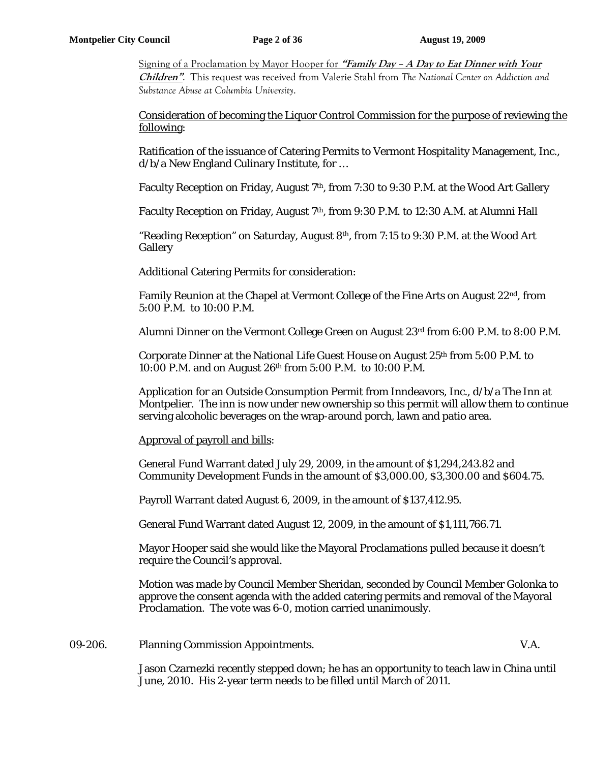Signing of a Proclamation by Mayor Hooper for **"Family Day – A Day to Eat Dinner with Your Children"**. This request was received from Valerie Stahl from *The National Center on Addiction and Substance Abuse at Columbia University*.

# Consideration of becoming the Liquor Control Commission for the purpose of reviewing the following:

Ratification of the issuance of Catering Permits to Vermont Hospitality Management, Inc., d/b/a New England Culinary Institute, for …

Faculty Reception on Friday, August 7<sup>th</sup>, from 7:30 to 9:30 P.M. at the Wood Art Gallery

Faculty Reception on Friday, August 7<sup>th</sup>, from 9:30 P.M. to 12:30 A.M. at Alumni Hall

"Reading Reception" on Saturday, August 8<sup>th</sup>, from 7:15 to 9:30 P.M. at the Wood Art Gallery

Additional Catering Permits for consideration:

Family Reunion at the Chapel at Vermont College of the Fine Arts on August 22nd, from 5:00 P.M. to 10:00 P.M.

Alumni Dinner on the Vermont College Green on August 23rd from 6:00 P.M. to 8:00 P.M.

Corporate Dinner at the National Life Guest House on August  $25<sup>th</sup>$  from 5:00 P.M. to 10:00 P.M. and on August 26th from 5:00 P.M. to 10:00 P.M.

Application for an Outside Consumption Permit from Inndeavors, Inc., d/b/a The Inn at Montpelier. The inn is now under new ownership so this permit will allow them to continue serving alcoholic beverages on the wrap-around porch, lawn and patio area.

Approval of payroll and bills:

General Fund Warrant dated July 29, 2009, in the amount of \$1,294,243.82 and Community Development Funds in the amount of \$3,000.00, \$3,300.00 and \$604.75.

Payroll Warrant dated August 6, 2009, in the amount of \$137,412.95.

General Fund Warrant dated August 12, 2009, in the amount of \$1,111,766.71.

Mayor Hooper said she would like the Mayoral Proclamations pulled because it doesn't require the Council's approval.

Motion was made by Council Member Sheridan, seconded by Council Member Golonka to approve the consent agenda with the added catering permits and removal of the Mayoral Proclamation. The vote was 6-0, motion carried unanimously.

09-206. Planning Commission Appointments. V.A.

Jason Czarnezki recently stepped down; he has an opportunity to teach law in China until June, 2010. His 2-year term needs to be filled until March of 2011.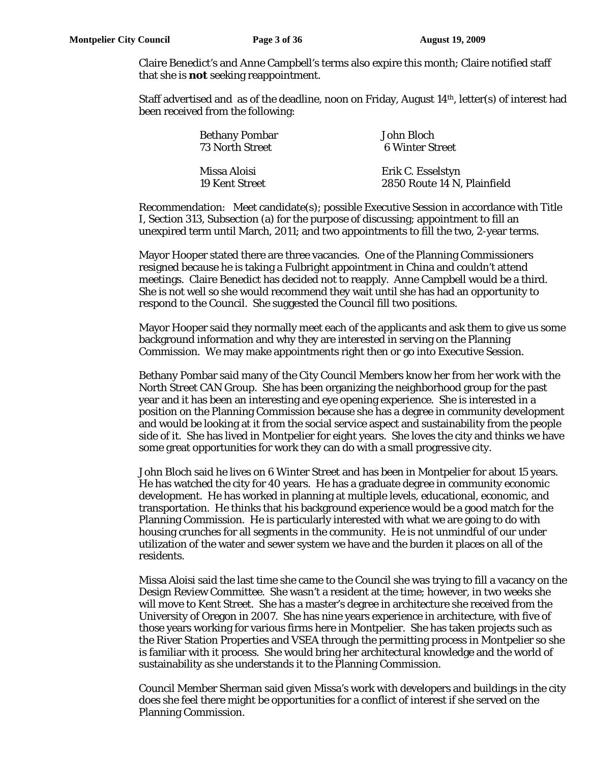Claire Benedict's and Anne Campbell's terms also expire this month; Claire notified staff that she is *not* seeking reappointment.

Staff advertised and as of the deadline, noon on Friday, August 14th, letter(s) of interest had been received from the following:

|  | <b>Bethany Pombar</b><br>73 North Street | John Bloch<br>6 Winter Street                    |
|--|------------------------------------------|--------------------------------------------------|
|  | Missa Aloisi<br>19 Kent Street           | Erik C. Esselstyn<br>2850 Route 14 N, Plainfield |

Recommendation: Meet candidate(s); possible Executive Session in accordance with Title I, Section 313, Subsection (a) for the purpose of discussing; appointment to fill an unexpired term until March, 2011; and two appointments to fill the two, 2-year terms.

Mayor Hooper stated there are three vacancies. One of the Planning Commissioners resigned because he is taking a Fulbright appointment in China and couldn't attend meetings. Claire Benedict has decided not to reapply. Anne Campbell would be a third. She is not well so she would recommend they wait until she has had an opportunity to respond to the Council. She suggested the Council fill two positions.

Mayor Hooper said they normally meet each of the applicants and ask them to give us some background information and why they are interested in serving on the Planning Commission. We may make appointments right then or go into Executive Session.

Bethany Pombar said many of the City Council Members know her from her work with the North Street CAN Group. She has been organizing the neighborhood group for the past year and it has been an interesting and eye opening experience. She is interested in a position on the Planning Commission because she has a degree in community development and would be looking at it from the social service aspect and sustainability from the people side of it. She has lived in Montpelier for eight years. She loves the city and thinks we have some great opportunities for work they can do with a small progressive city.

John Bloch said he lives on 6 Winter Street and has been in Montpelier for about 15 years. He has watched the city for 40 years. He has a graduate degree in community economic development. He has worked in planning at multiple levels, educational, economic, and transportation. He thinks that his background experience would be a good match for the Planning Commission. He is particularly interested with what we are going to do with housing crunches for all segments in the community. He is not unmindful of our under utilization of the water and sewer system we have and the burden it places on all of the residents.

Missa Aloisi said the last time she came to the Council she was trying to fill a vacancy on the Design Review Committee. She wasn't a resident at the time; however, in two weeks she will move to Kent Street. She has a master's degree in architecture she received from the University of Oregon in 2007. She has nine years experience in architecture, with five of those years working for various firms here in Montpelier. She has taken projects such as the River Station Properties and VSEA through the permitting process in Montpelier so she is familiar with it process. She would bring her architectural knowledge and the world of sustainability as she understands it to the Planning Commission.

Council Member Sherman said given Missa's work with developers and buildings in the city does she feel there might be opportunities for a conflict of interest if she served on the Planning Commission.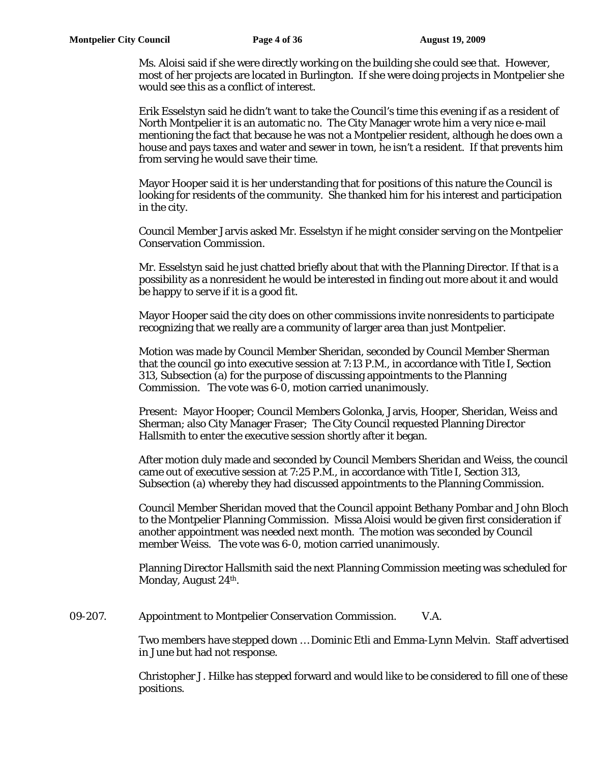Ms. Aloisi said if she were directly working on the building she could see that. However, most of her projects are located in Burlington. If she were doing projects in Montpelier she would see this as a conflict of interest.

Erik Esselstyn said he didn't want to take the Council's time this evening if as a resident of North Montpelier it is an automatic no. The City Manager wrote him a very nice e-mail mentioning the fact that because he was not a Montpelier resident, although he does own a house and pays taxes and water and sewer in town, he isn't a resident. If that prevents him from serving he would save their time.

Mayor Hooper said it is her understanding that for positions of this nature the Council is looking for residents of the community. She thanked him for his interest and participation in the city.

Council Member Jarvis asked Mr. Esselstyn if he might consider serving on the Montpelier Conservation Commission.

Mr. Esselstyn said he just chatted briefly about that with the Planning Director. If that is a possibility as a nonresident he would be interested in finding out more about it and would be happy to serve if it is a good fit.

Mayor Hooper said the city does on other commissions invite nonresidents to participate recognizing that we really are a community of larger area than just Montpelier.

Motion was made by Council Member Sheridan, seconded by Council Member Sherman that the council go into executive session at 7:13 P.M., in accordance with Title I, Section 313, Subsection (a) for the purpose of discussing appointments to the Planning Commission. The vote was 6-0, motion carried unanimously.

Present: Mayor Hooper; Council Members Golonka, Jarvis, Hooper, Sheridan, Weiss and Sherman; also City Manager Fraser; The City Council requested Planning Director Hallsmith to enter the executive session shortly after it began.

After motion duly made and seconded by Council Members Sheridan and Weiss, the council came out of executive session at 7:25 P.M., in accordance with Title I, Section 313, Subsection (a) whereby they had discussed appointments to the Planning Commission.

Council Member Sheridan moved that the Council appoint Bethany Pombar and John Bloch to the Montpelier Planning Commission. Missa Aloisi would be given first consideration if another appointment was needed next month. The motion was seconded by Council member Weiss. The vote was 6-0, motion carried unanimously.

Planning Director Hallsmith said the next Planning Commission meeting was scheduled for Monday, August 24<sup>th</sup>.

09-207. Appointment to Montpelier Conservation Commission. V.A.

Two members have stepped down … Dominic Etli and Emma-Lynn Melvin. Staff advertised in June but had not response.

Christopher J. Hilke has stepped forward and would like to be considered to fill one of these positions.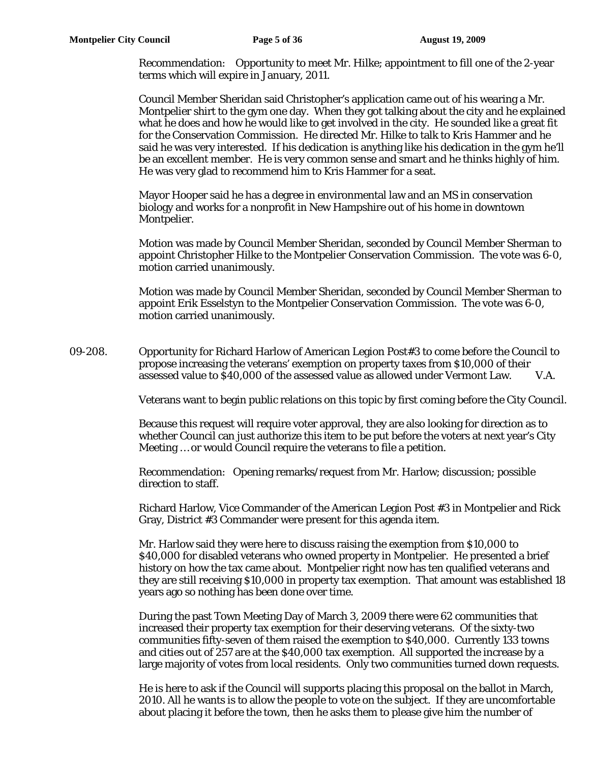Recommendation: Opportunity to meet Mr. Hilke; appointment to fill one of the 2-year terms which will expire in January, 2011.

Council Member Sheridan said Christopher's application came out of his wearing a Mr. Montpelier shirt to the gym one day. When they got talking about the city and he explained what he does and how he would like to get involved in the city. He sounded like a great fit for the Conservation Commission. He directed Mr. Hilke to talk to Kris Hammer and he said he was very interested. If his dedication is anything like his dedication in the gym he'll be an excellent member. He is very common sense and smart and he thinks highly of him. He was very glad to recommend him to Kris Hammer for a seat.

Mayor Hooper said he has a degree in environmental law and an MS in conservation biology and works for a nonprofit in New Hampshire out of his home in downtown Montpelier.

Motion was made by Council Member Sheridan, seconded by Council Member Sherman to appoint Christopher Hilke to the Montpelier Conservation Commission. The vote was 6-0, motion carried unanimously.

Motion was made by Council Member Sheridan, seconded by Council Member Sherman to appoint Erik Esselstyn to the Montpelier Conservation Commission. The vote was 6-0, motion carried unanimously.

09-208. Opportunity for Richard Harlow of American Legion Post#3 to come before the Council to propose increasing the veterans' exemption on property taxes from \$10,000 of their assessed value to \$40,000 of the assessed value as allowed under Vermont Law. V.A.

Veterans want to begin public relations on this topic by first coming before the City Council.

Because this request will require voter approval, they are also looking for direction as to whether Council can just authorize this item to be put before the voters at next year's City Meeting … or would Council require the veterans to file a petition.

Recommendation: Opening remarks/request from Mr. Harlow; discussion; possible direction to staff.

Richard Harlow, Vice Commander of the American Legion Post #3 in Montpelier and Rick Gray, District #3 Commander were present for this agenda item.

Mr. Harlow said they were here to discuss raising the exemption from \$10,000 to \$40,000 for disabled veterans who owned property in Montpelier. He presented a brief history on how the tax came about. Montpelier right now has ten qualified veterans and they are still receiving \$10,000 in property tax exemption. That amount was established 18 years ago so nothing has been done over time.

During the past Town Meeting Day of March 3, 2009 there were 62 communities that increased their property tax exemption for their deserving veterans. Of the sixty-two communities fifty-seven of them raised the exemption to \$40,000. Currently 133 towns and cities out of 257 are at the \$40,000 tax exemption. All supported the increase by a large majority of votes from local residents. Only two communities turned down requests.

He is here to ask if the Council will supports placing this proposal on the ballot in March, 2010. All he wants is to allow the people to vote on the subject. If they are uncomfortable about placing it before the town, then he asks them to please give him the number of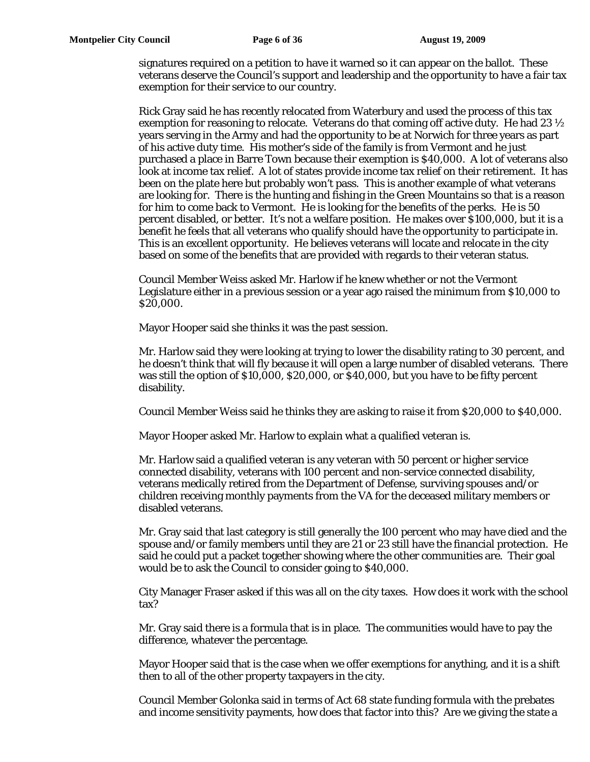signatures required on a petition to have it warned so it can appear on the ballot. These veterans deserve the Council's support and leadership and the opportunity to have a fair tax exemption for their service to our country.

Rick Gray said he has recently relocated from Waterbury and used the process of this tax exemption for reasoning to relocate. Veterans do that coming off active duty. He had 23 ½ years serving in the Army and had the opportunity to be at Norwich for three years as part of his active duty time. His mother's side of the family is from Vermont and he just purchased a place in Barre Town because their exemption is \$40,000. A lot of veterans also look at income tax relief. A lot of states provide income tax relief on their retirement. It has been on the plate here but probably won't pass. This is another example of what veterans are looking for. There is the hunting and fishing in the Green Mountains so that is a reason for him to come back to Vermont. He is looking for the benefits of the perks. He is 50 percent disabled, or better. It's not a welfare position. He makes over \$100,000, but it is a benefit he feels that all veterans who qualify should have the opportunity to participate in. This is an excellent opportunity. He believes veterans will locate and relocate in the city based on some of the benefits that are provided with regards to their veteran status.

Council Member Weiss asked Mr. Harlow if he knew whether or not the Vermont Legislature either in a previous session or a year ago raised the minimum from \$10,000 to \$20,000.

Mayor Hooper said she thinks it was the past session.

Mr. Harlow said they were looking at trying to lower the disability rating to 30 percent, and he doesn't think that will fly because it will open a large number of disabled veterans. There was still the option of \$10,000, \$20,000, or \$40,000, but you have to be fifty percent disability.

Council Member Weiss said he thinks they are asking to raise it from \$20,000 to \$40,000.

Mayor Hooper asked Mr. Harlow to explain what a qualified veteran is.

Mr. Harlow said a qualified veteran is any veteran with 50 percent or higher service connected disability, veterans with 100 percent and non-service connected disability, veterans medically retired from the Department of Defense, surviving spouses and/or children receiving monthly payments from the VA for the deceased military members or disabled veterans.

Mr. Gray said that last category is still generally the 100 percent who may have died and the spouse and/or family members until they are 21 or 23 still have the financial protection. He said he could put a packet together showing where the other communities are. Their goal would be to ask the Council to consider going to \$40,000.

City Manager Fraser asked if this was all on the city taxes. How does it work with the school tax?

Mr. Gray said there is a formula that is in place. The communities would have to pay the difference, whatever the percentage.

Mayor Hooper said that is the case when we offer exemptions for anything, and it is a shift then to all of the other property taxpayers in the city.

Council Member Golonka said in terms of Act 68 state funding formula with the prebates and income sensitivity payments, how does that factor into this? Are we giving the state a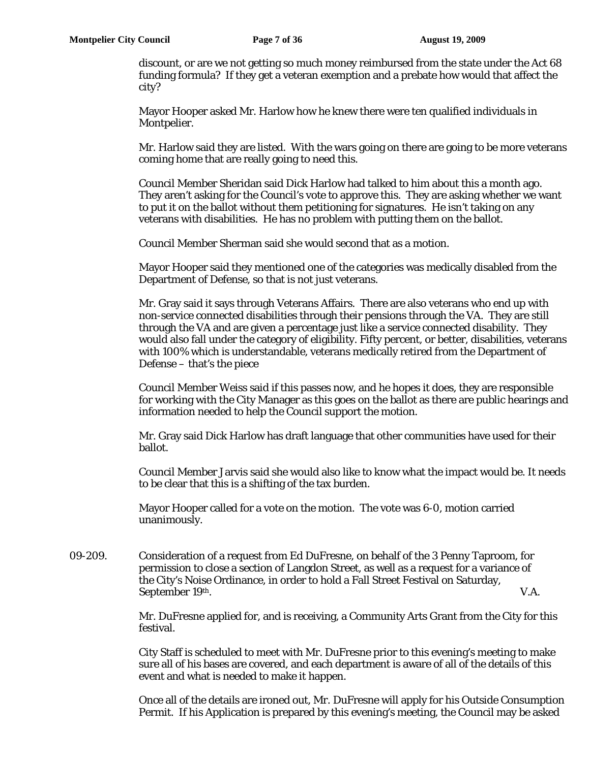discount, or are we not getting so much money reimbursed from the state under the Act 68 funding formula? If they get a veteran exemption and a prebate how would that affect the city?

Mayor Hooper asked Mr. Harlow how he knew there were ten qualified individuals in Montpelier.

Mr. Harlow said they are listed. With the wars going on there are going to be more veterans coming home that are really going to need this.

Council Member Sheridan said Dick Harlow had talked to him about this a month ago. They aren't asking for the Council's vote to approve this. They are asking whether we want to put it on the ballot without them petitioning for signatures. He isn't taking on any veterans with disabilities. He has no problem with putting them on the ballot.

Council Member Sherman said she would second that as a motion.

Mayor Hooper said they mentioned one of the categories was medically disabled from the Department of Defense, so that is not just veterans.

Mr. Gray said it says through Veterans Affairs. There are also veterans who end up with non-service connected disabilities through their pensions through the VA. They are still through the VA and are given a percentage just like a service connected disability. They would also fall under the category of eligibility. Fifty percent, or better, disabilities, veterans with 100% which is understandable, veterans medically retired from the Department of Defense – that's the piece

Council Member Weiss said if this passes now, and he hopes it does, they are responsible for working with the City Manager as this goes on the ballot as there are public hearings and information needed to help the Council support the motion.

Mr. Gray said Dick Harlow has draft language that other communities have used for their ballot.

Council Member Jarvis said she would also like to know what the impact would be. It needs to be clear that this is a shifting of the tax burden.

Mayor Hooper called for a vote on the motion. The vote was 6-0, motion carried unanimously.

09-209. Consideration of a request from Ed DuFresne, on behalf of the 3 Penny Taproom, for permission to close a section of Langdon Street, as well as a request for a variance of the City's Noise Ordinance, in order to hold a Fall Street Festival on Saturday, September 19<sup>th</sup>. V.A.

> Mr. DuFresne applied for, and is receiving, a Community Arts Grant from the City for this festival.

> City Staff is scheduled to meet with Mr. DuFresne prior to this evening's meeting to make sure all of his bases are covered, and each department is aware of all of the details of this event and what is needed to make it happen.

Once all of the details are ironed out, Mr. DuFresne will apply for his Outside Consumption Permit. If his Application is prepared by this evening's meeting, the Council may be asked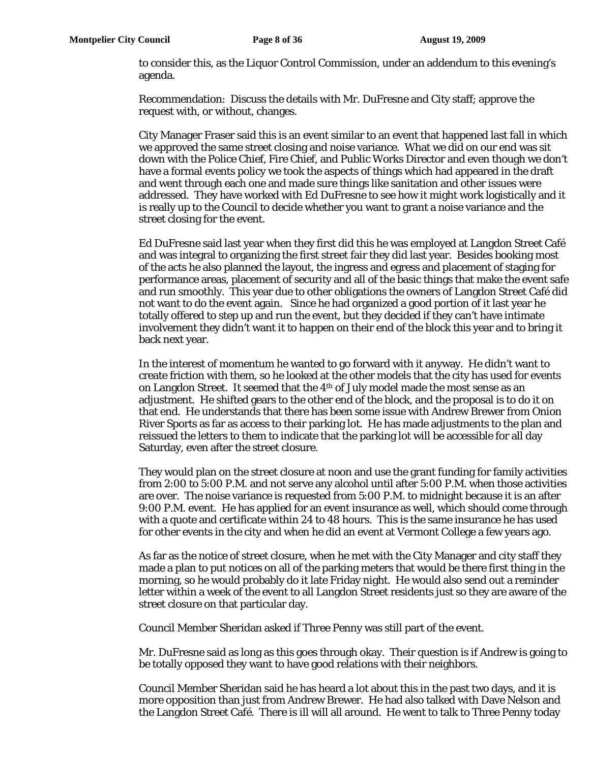to consider this, as the Liquor Control Commission, under an addendum to this evening's agenda.

Recommendation: Discuss the details with Mr. DuFresne and City staff; approve the request with, or without, changes.

City Manager Fraser said this is an event similar to an event that happened last fall in which we approved the same street closing and noise variance. What we did on our end was sit down with the Police Chief, Fire Chief, and Public Works Director and even though we don't have a formal events policy we took the aspects of things which had appeared in the draft and went through each one and made sure things like sanitation and other issues were addressed. They have worked with Ed DuFresne to see how it might work logistically and it is really up to the Council to decide whether you want to grant a noise variance and the street closing for the event.

Ed DuFresne said last year when they first did this he was employed at Langdon Street Café and was integral to organizing the first street fair they did last year. Besides booking most of the acts he also planned the layout, the ingress and egress and placement of staging for performance areas, placement of security and all of the basic things that make the event safe and run smoothly. This year due to other obligations the owners of Langdon Street Café did not want to do the event again. Since he had organized a good portion of it last year he totally offered to step up and run the event, but they decided if they can't have intimate involvement they didn't want it to happen on their end of the block this year and to bring it back next year.

In the interest of momentum he wanted to go forward with it anyway. He didn't want to create friction with them, so he looked at the other models that the city has used for events on Langdon Street. It seemed that the 4<sup>th</sup> of July model made the most sense as an adjustment. He shifted gears to the other end of the block, and the proposal is to do it on that end. He understands that there has been some issue with Andrew Brewer from Onion River Sports as far as access to their parking lot. He has made adjustments to the plan and reissued the letters to them to indicate that the parking lot will be accessible for all day Saturday, even after the street closure.

They would plan on the street closure at noon and use the grant funding for family activities from 2:00 to 5:00 P.M. and not serve any alcohol until after 5:00 P.M. when those activities are over. The noise variance is requested from 5:00 P.M. to midnight because it is an after 9:00 P.M. event. He has applied for an event insurance as well, which should come through with a quote and certificate within 24 to 48 hours. This is the same insurance he has used for other events in the city and when he did an event at Vermont College a few years ago.

As far as the notice of street closure, when he met with the City Manager and city staff they made a plan to put notices on all of the parking meters that would be there first thing in the morning, so he would probably do it late Friday night. He would also send out a reminder letter within a week of the event to all Langdon Street residents just so they are aware of the street closure on that particular day.

Council Member Sheridan asked if Three Penny was still part of the event.

Mr. DuFresne said as long as this goes through okay. Their question is if Andrew is going to be totally opposed they want to have good relations with their neighbors.

Council Member Sheridan said he has heard a lot about this in the past two days, and it is more opposition than just from Andrew Brewer. He had also talked with Dave Nelson and the Langdon Street Café. There is ill will all around. He went to talk to Three Penny today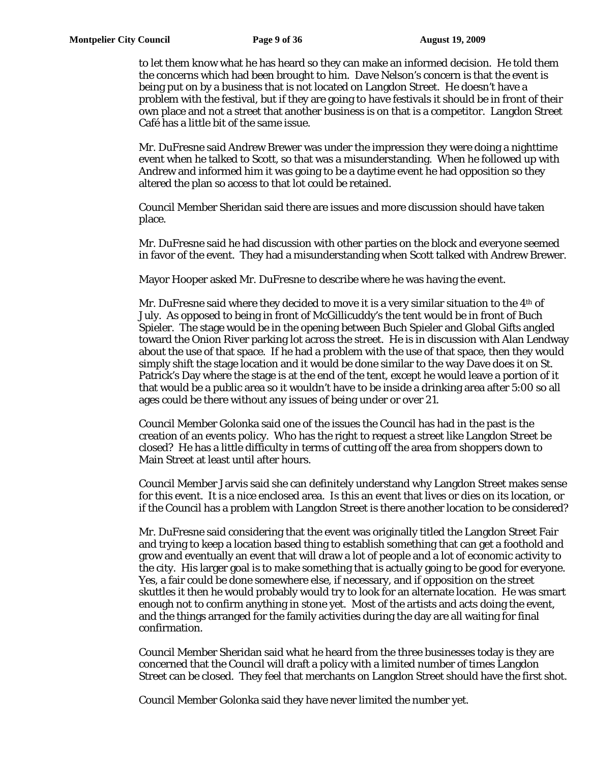to let them know what he has heard so they can make an informed decision. He told them the concerns which had been brought to him. Dave Nelson's concern is that the event is being put on by a business that is not located on Langdon Street. He doesn't have a problem with the festival, but if they are going to have festivals it should be in front of their own place and not a street that another business is on that is a competitor. Langdon Street Café has a little bit of the same issue.

Mr. DuFresne said Andrew Brewer was under the impression they were doing a nighttime event when he talked to Scott, so that was a misunderstanding. When he followed up with Andrew and informed him it was going to be a daytime event he had opposition so they altered the plan so access to that lot could be retained.

Council Member Sheridan said there are issues and more discussion should have taken place.

Mr. DuFresne said he had discussion with other parties on the block and everyone seemed in favor of the event. They had a misunderstanding when Scott talked with Andrew Brewer.

Mayor Hooper asked Mr. DuFresne to describe where he was having the event.

Mr. DuFresne said where they decided to move it is a very similar situation to the  $4<sup>th</sup>$  of July. As opposed to being in front of McGillicuddy's the tent would be in front of Buch Spieler. The stage would be in the opening between Buch Spieler and Global Gifts angled toward the Onion River parking lot across the street. He is in discussion with Alan Lendway about the use of that space. If he had a problem with the use of that space, then they would simply shift the stage location and it would be done similar to the way Dave does it on St. Patrick's Day where the stage is at the end of the tent, except he would leave a portion of it that would be a public area so it wouldn't have to be inside a drinking area after 5:00 so all ages could be there without any issues of being under or over 21.

Council Member Golonka said one of the issues the Council has had in the past is the creation of an events policy. Who has the right to request a street like Langdon Street be closed? He has a little difficulty in terms of cutting off the area from shoppers down to Main Street at least until after hours.

Council Member Jarvis said she can definitely understand why Langdon Street makes sense for this event. It is a nice enclosed area. Is this an event that lives or dies on its location, or if the Council has a problem with Langdon Street is there another location to be considered?

Mr. DuFresne said considering that the event was originally titled the Langdon Street Fair and trying to keep a location based thing to establish something that can get a foothold and grow and eventually an event that will draw a lot of people and a lot of economic activity to the city. His larger goal is to make something that is actually going to be good for everyone. Yes, a fair could be done somewhere else, if necessary, and if opposition on the street skuttles it then he would probably would try to look for an alternate location. He was smart enough not to confirm anything in stone yet. Most of the artists and acts doing the event, and the things arranged for the family activities during the day are all waiting for final confirmation.

Council Member Sheridan said what he heard from the three businesses today is they are concerned that the Council will draft a policy with a limited number of times Langdon Street can be closed. They feel that merchants on Langdon Street should have the first shot.

Council Member Golonka said they have never limited the number yet.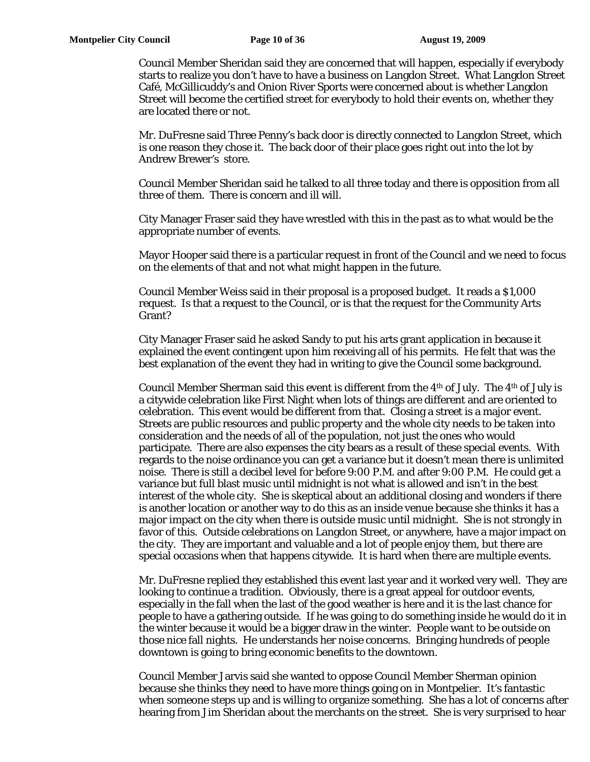Council Member Sheridan said they are concerned that will happen, especially if everybody starts to realize you don't have to have a business on Langdon Street. What Langdon Street Café, McGillicuddy's and Onion River Sports were concerned about is whether Langdon Street will become the certified street for everybody to hold their events on, whether they are located there or not.

Mr. DuFresne said Three Penny's back door is directly connected to Langdon Street, which is one reason they chose it. The back door of their place goes right out into the lot by Andrew Brewer's store.

Council Member Sheridan said he talked to all three today and there is opposition from all three of them. There is concern and ill will.

City Manager Fraser said they have wrestled with this in the past as to what would be the appropriate number of events.

Mayor Hooper said there is a particular request in front of the Council and we need to focus on the elements of that and not what might happen in the future.

Council Member Weiss said in their proposal is a proposed budget. It reads a \$1,000 request. Is that a request to the Council, or is that the request for the Community Arts Grant?

City Manager Fraser said he asked Sandy to put his arts grant application in because it explained the event contingent upon him receiving all of his permits. He felt that was the best explanation of the event they had in writing to give the Council some background.

Council Member Sherman said this event is different from the  $4<sup>th</sup>$  of July. The  $4<sup>th</sup>$  of July is a citywide celebration like First Night when lots of things are different and are oriented to celebration. This event would be different from that. Closing a street is a major event. Streets are public resources and public property and the whole city needs to be taken into consideration and the needs of all of the population, not just the ones who would participate. There are also expenses the city bears as a result of these special events. With regards to the noise ordinance you can get a variance but it doesn't mean there is unlimited noise. There is still a decibel level for before 9:00 P.M. and after 9:00 P.M. He could get a variance but full blast music until midnight is not what is allowed and isn't in the best interest of the whole city. She is skeptical about an additional closing and wonders if there is another location or another way to do this as an inside venue because she thinks it has a major impact on the city when there is outside music until midnight. She is not strongly in favor of this. Outside celebrations on Langdon Street, or anywhere, have a major impact on the city. They are important and valuable and a lot of people enjoy them, but there are special occasions when that happens citywide. It is hard when there are multiple events.

Mr. DuFresne replied they established this event last year and it worked very well. They are looking to continue a tradition. Obviously, there is a great appeal for outdoor events, especially in the fall when the last of the good weather is here and it is the last chance for people to have a gathering outside. If he was going to do something inside he would do it in the winter because it would be a bigger draw in the winter. People want to be outside on those nice fall nights. He understands her noise concerns. Bringing hundreds of people downtown is going to bring economic benefits to the downtown.

Council Member Jarvis said she wanted to oppose Council Member Sherman opinion because she thinks they need to have more things going on in Montpelier. It's fantastic when someone steps up and is willing to organize something. She has a lot of concerns after hearing from Jim Sheridan about the merchants on the street. She is very surprised to hear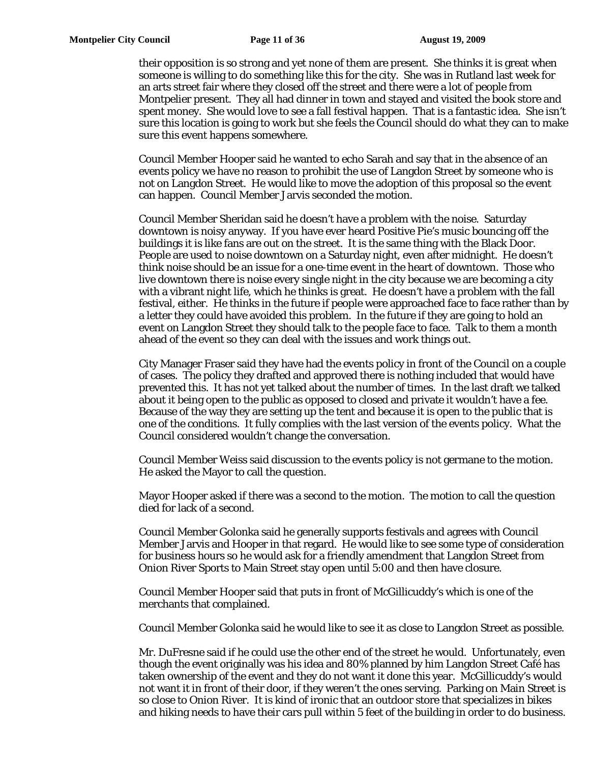their opposition is so strong and yet none of them are present. She thinks it is great when someone is willing to do something like this for the city. She was in Rutland last week for an arts street fair where they closed off the street and there were a lot of people from Montpelier present. They all had dinner in town and stayed and visited the book store and spent money. She would love to see a fall festival happen. That is a fantastic idea. She isn't sure this location is going to work but she feels the Council should do what they can to make sure this event happens somewhere.

Council Member Hooper said he wanted to echo Sarah and say that in the absence of an events policy we have no reason to prohibit the use of Langdon Street by someone who is not on Langdon Street. He would like to move the adoption of this proposal so the event can happen. Council Member Jarvis seconded the motion.

Council Member Sheridan said he doesn't have a problem with the noise. Saturday downtown is noisy anyway. If you have ever heard Positive Pie's music bouncing off the buildings it is like fans are out on the street. It is the same thing with the Black Door. People are used to noise downtown on a Saturday night, even after midnight. He doesn't think noise should be an issue for a one-time event in the heart of downtown. Those who live downtown there is noise every single night in the city because we are becoming a city with a vibrant night life, which he thinks is great. He doesn't have a problem with the fall festival, either. He thinks in the future if people were approached face to face rather than by a letter they could have avoided this problem. In the future if they are going to hold an event on Langdon Street they should talk to the people face to face. Talk to them a month ahead of the event so they can deal with the issues and work things out.

City Manager Fraser said they have had the events policy in front of the Council on a couple of cases. The policy they drafted and approved there is nothing included that would have prevented this. It has not yet talked about the number of times. In the last draft we talked about it being open to the public as opposed to closed and private it wouldn't have a fee. Because of the way they are setting up the tent and because it is open to the public that is one of the conditions. It fully complies with the last version of the events policy. What the Council considered wouldn't change the conversation.

Council Member Weiss said discussion to the events policy is not germane to the motion. He asked the Mayor to call the question.

Mayor Hooper asked if there was a second to the motion. The motion to call the question died for lack of a second.

Council Member Golonka said he generally supports festivals and agrees with Council Member Jarvis and Hooper in that regard. He would like to see some type of consideration for business hours so he would ask for a friendly amendment that Langdon Street from Onion River Sports to Main Street stay open until 5:00 and then have closure.

Council Member Hooper said that puts in front of McGillicuddy's which is one of the merchants that complained.

Council Member Golonka said he would like to see it as close to Langdon Street as possible.

Mr. DuFresne said if he could use the other end of the street he would. Unfortunately, even though the event originally was his idea and 80% planned by him Langdon Street Café has taken ownership of the event and they do not want it done this year. McGillicuddy's would not want it in front of their door, if they weren't the ones serving. Parking on Main Street is so close to Onion River. It is kind of ironic that an outdoor store that specializes in bikes and hiking needs to have their cars pull within 5 feet of the building in order to do business.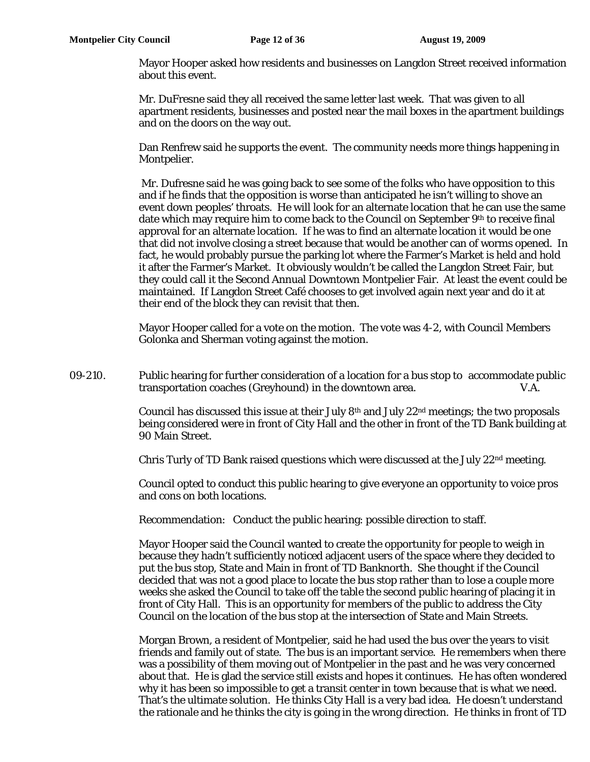Mayor Hooper asked how residents and businesses on Langdon Street received information about this event.

Mr. DuFresne said they all received the same letter last week. That was given to all apartment residents, businesses and posted near the mail boxes in the apartment buildings and on the doors on the way out.

Dan Renfrew said he supports the event. The community needs more things happening in Montpelier.

 Mr. Dufresne said he was going back to see some of the folks who have opposition to this and if he finds that the opposition is worse than anticipated he isn't willing to shove an event down peoples' throats. He will look for an alternate location that he can use the same date which may require him to come back to the Council on September 9<sup>th</sup> to receive final approval for an alternate location. If he was to find an alternate location it would be one that did not involve closing a street because that would be another can of worms opened. In fact, he would probably pursue the parking lot where the Farmer's Market is held and hold it after the Farmer's Market. It obviously wouldn't be called the Langdon Street Fair, but they could call it the Second Annual Downtown Montpelier Fair. At least the event could be maintained. If Langdon Street Café chooses to get involved again next year and do it at their end of the block they can revisit that then.

Mayor Hooper called for a vote on the motion. The vote was 4-2, with Council Members Golonka and Sherman voting against the motion.

09-210. Public hearing for further consideration of a location for a bus stop to accommodate public transportation coaches (Greyhound) in the downtown area. V.A.

> Council has discussed this issue at their July 8th and July 22nd meetings; the two proposals being considered were in front of City Hall and the other in front of the TD Bank building at 90 Main Street.

Chris Turly of TD Bank raised questions which were discussed at the July  $22<sup>nd</sup>$  meeting.

Council opted to conduct this public hearing to give everyone an opportunity to voice pros and cons on both locations.

Recommendation: Conduct the public hearing: possible direction to staff.

Mayor Hooper said the Council wanted to create the opportunity for people to weigh in because they hadn't sufficiently noticed adjacent users of the space where they decided to put the bus stop, State and Main in front of TD Banknorth. She thought if the Council decided that was not a good place to locate the bus stop rather than to lose a couple more weeks she asked the Council to take off the table the second public hearing of placing it in front of City Hall. This is an opportunity for members of the public to address the City Council on the location of the bus stop at the intersection of State and Main Streets.

Morgan Brown, a resident of Montpelier, said he had used the bus over the years to visit friends and family out of state. The bus is an important service. He remembers when there was a possibility of them moving out of Montpelier in the past and he was very concerned about that. He is glad the service still exists and hopes it continues. He has often wondered why it has been so impossible to get a transit center in town because that is what we need. That's the ultimate solution. He thinks City Hall is a very bad idea. He doesn't understand the rationale and he thinks the city is going in the wrong direction. He thinks in front of TD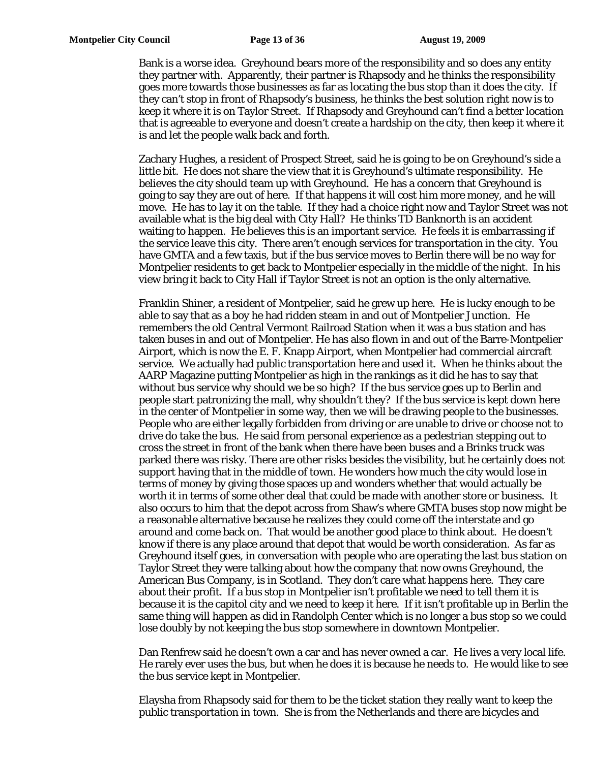Bank is a worse idea. Greyhound bears more of the responsibility and so does any entity they partner with. Apparently, their partner is Rhapsody and he thinks the responsibility goes more towards those businesses as far as locating the bus stop than it does the city. If they can't stop in front of Rhapsody's business, he thinks the best solution right now is to keep it where it is on Taylor Street. If Rhapsody and Greyhound can't find a better location that is agreeable to everyone and doesn't create a hardship on the city, then keep it where it is and let the people walk back and forth.

Zachary Hughes, a resident of Prospect Street, said he is going to be on Greyhound's side a little bit. He does not share the view that it is Greyhound's ultimate responsibility. He believes the city should team up with Greyhound. He has a concern that Greyhound is going to say they are out of here. If that happens it will cost him more money, and he will move. He has to lay it on the table. If they had a choice right now and Taylor Street was not available what is the big deal with City Hall? He thinks TD Banknorth is an accident waiting to happen. He believes this is an important service. He feels it is embarrassing if the service leave this city. There aren't enough services for transportation in the city. You have GMTA and a few taxis, but if the bus service moves to Berlin there will be no way for Montpelier residents to get back to Montpelier especially in the middle of the night. In his view bring it back to City Hall if Taylor Street is not an option is the only alternative.

Franklin Shiner, a resident of Montpelier, said he grew up here. He is lucky enough to be able to say that as a boy he had ridden steam in and out of Montpelier Junction. He remembers the old Central Vermont Railroad Station when it was a bus station and has taken buses in and out of Montpelier. He has also flown in and out of the Barre-Montpelier Airport, which is now the E. F. Knapp Airport, when Montpelier had commercial aircraft service. We actually had public transportation here and used it. When he thinks about the AARP Magazine putting Montpelier as high in the rankings as it did he has to say that without bus service why should we be so high? If the bus service goes up to Berlin and people start patronizing the mall, why shouldn't they? If the bus service is kept down here in the center of Montpelier in some way, then we will be drawing people to the businesses. People who are either legally forbidden from driving or are unable to drive or choose not to drive do take the bus. He said from personal experience as a pedestrian stepping out to cross the street in front of the bank when there have been buses and a Brinks truck was parked there was risky. There are other risks besides the visibility, but he certainly does not support having that in the middle of town. He wonders how much the city would lose in terms of money by giving those spaces up and wonders whether that would actually be worth it in terms of some other deal that could be made with another store or business. It also occurs to him that the depot across from Shaw's where GMTA buses stop now might be a reasonable alternative because he realizes they could come off the interstate and go around and come back on. That would be another good place to think about. He doesn't know if there is any place around that depot that would be worth consideration. As far as Greyhound itself goes, in conversation with people who are operating the last bus station on Taylor Street they were talking about how the company that now owns Greyhound, the American Bus Company, is in Scotland. They don't care what happens here. They care about their profit. If a bus stop in Montpelier isn't profitable we need to tell them it is because it is the capitol city and we need to keep it here. If it isn't profitable up in Berlin the same thing will happen as did in Randolph Center which is no longer a bus stop so we could lose doubly by not keeping the bus stop somewhere in downtown Montpelier.

Dan Renfrew said he doesn't own a car and has never owned a car. He lives a very local life. He rarely ever uses the bus, but when he does it is because he needs to. He would like to see the bus service kept in Montpelier.

Elaysha from Rhapsody said for them to be the ticket station they really want to keep the public transportation in town. She is from the Netherlands and there are bicycles and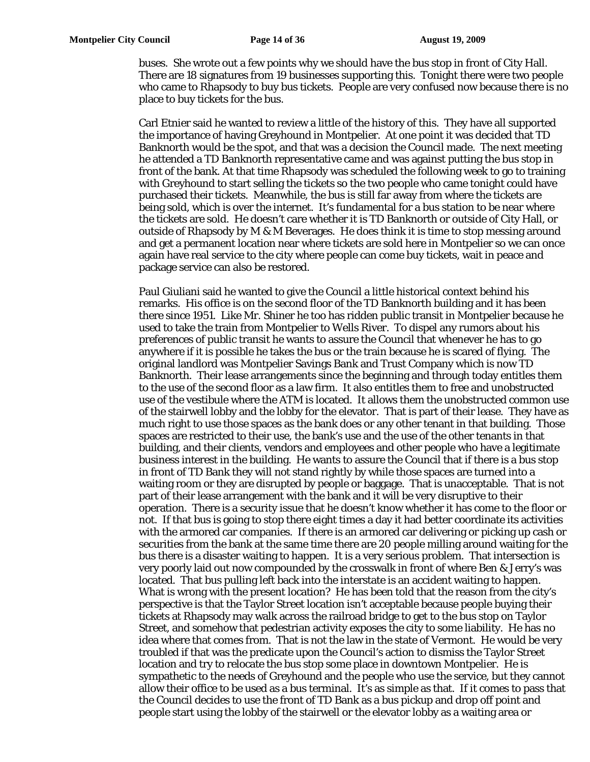buses. She wrote out a few points why we should have the bus stop in front of City Hall. There are 18 signatures from 19 businesses supporting this. Tonight there were two people who came to Rhapsody to buy bus tickets. People are very confused now because there is no place to buy tickets for the bus.

Carl Etnier said he wanted to review a little of the history of this. They have all supported the importance of having Greyhound in Montpelier. At one point it was decided that TD Banknorth would be the spot, and that was a decision the Council made. The next meeting he attended a TD Banknorth representative came and was against putting the bus stop in front of the bank. At that time Rhapsody was scheduled the following week to go to training with Greyhound to start selling the tickets so the two people who came tonight could have purchased their tickets. Meanwhile, the bus is still far away from where the tickets are being sold, which is over the internet. It's fundamental for a bus station to be near where the tickets are sold. He doesn't care whether it is TD Banknorth or outside of City Hall, or outside of Rhapsody by M & M Beverages. He does think it is time to stop messing around and get a permanent location near where tickets are sold here in Montpelier so we can once again have real service to the city where people can come buy tickets, wait in peace and package service can also be restored.

Paul Giuliani said he wanted to give the Council a little historical context behind his remarks. His office is on the second floor of the TD Banknorth building and it has been there since 1951. Like Mr. Shiner he too has ridden public transit in Montpelier because he used to take the train from Montpelier to Wells River. To dispel any rumors about his preferences of public transit he wants to assure the Council that whenever he has to go anywhere if it is possible he takes the bus or the train because he is scared of flying. The original landlord was Montpelier Savings Bank and Trust Company which is now TD Banknorth. Their lease arrangements since the beginning and through today entitles them to the use of the second floor as a law firm. It also entitles them to free and unobstructed use of the vestibule where the ATM is located. It allows them the unobstructed common use of the stairwell lobby and the lobby for the elevator. That is part of their lease. They have as much right to use those spaces as the bank does or any other tenant in that building. Those spaces are restricted to their use, the bank's use and the use of the other tenants in that building, and their clients, vendors and employees and other people who have a legitimate business interest in the building. He wants to assure the Council that if there is a bus stop in front of TD Bank they will not stand rightly by while those spaces are turned into a waiting room or they are disrupted by people or baggage. That is unacceptable. That is not part of their lease arrangement with the bank and it will be very disruptive to their operation. There is a security issue that he doesn't know whether it has come to the floor or not. If that bus is going to stop there eight times a day it had better coordinate its activities with the armored car companies. If there is an armored car delivering or picking up cash or securities from the bank at the same time there are 20 people milling around waiting for the bus there is a disaster waiting to happen. It is a very serious problem. That intersection is very poorly laid out now compounded by the crosswalk in front of where Ben & Jerry's was located. That bus pulling left back into the interstate is an accident waiting to happen. What is wrong with the present location? He has been told that the reason from the city's perspective is that the Taylor Street location isn't acceptable because people buying their tickets at Rhapsody may walk across the railroad bridge to get to the bus stop on Taylor Street, and somehow that pedestrian activity exposes the city to some liability. He has no idea where that comes from. That is not the law in the state of Vermont. He would be very troubled if that was the predicate upon the Council's action to dismiss the Taylor Street location and try to relocate the bus stop some place in downtown Montpelier. He is sympathetic to the needs of Greyhound and the people who use the service, but they cannot allow their office to be used as a bus terminal. It's as simple as that. If it comes to pass that the Council decides to use the front of TD Bank as a bus pickup and drop off point and people start using the lobby of the stairwell or the elevator lobby as a waiting area or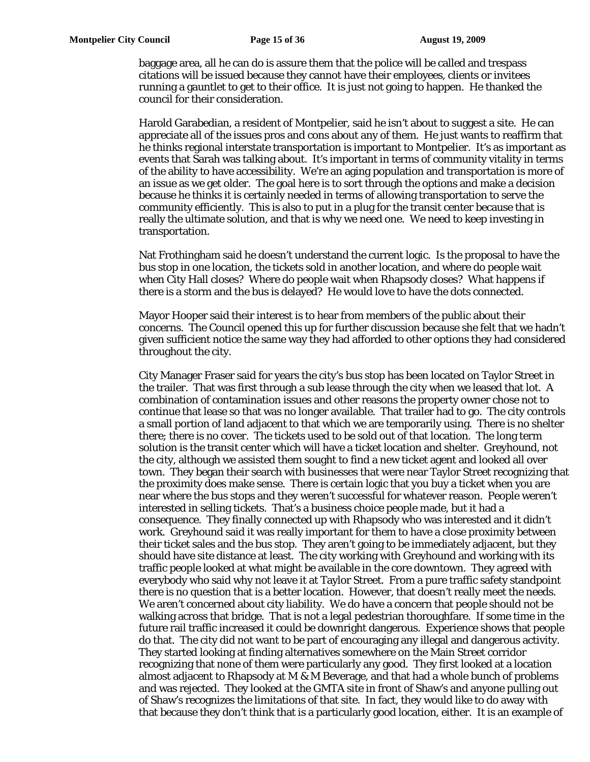baggage area, all he can do is assure them that the police will be called and trespass citations will be issued because they cannot have their employees, clients or invitees running a gauntlet to get to their office. It is just not going to happen. He thanked the council for their consideration.

Harold Garabedian, a resident of Montpelier, said he isn't about to suggest a site. He can appreciate all of the issues pros and cons about any of them. He just wants to reaffirm that he thinks regional interstate transportation is important to Montpelier. It's as important as events that Sarah was talking about. It's important in terms of community vitality in terms of the ability to have accessibility. We're an aging population and transportation is more of an issue as we get older. The goal here is to sort through the options and make a decision because he thinks it is certainly needed in terms of allowing transportation to serve the community efficiently. This is also to put in a plug for the transit center because that is really the ultimate solution, and that is why we need one. We need to keep investing in transportation.

Nat Frothingham said he doesn't understand the current logic. Is the proposal to have the bus stop in one location, the tickets sold in another location, and where do people wait when City Hall closes? Where do people wait when Rhapsody closes? What happens if there is a storm and the bus is delayed? He would love to have the dots connected.

Mayor Hooper said their interest is to hear from members of the public about their concerns. The Council opened this up for further discussion because she felt that we hadn't given sufficient notice the same way they had afforded to other options they had considered throughout the city.

City Manager Fraser said for years the city's bus stop has been located on Taylor Street in the trailer. That was first through a sub lease through the city when we leased that lot. A combination of contamination issues and other reasons the property owner chose not to continue that lease so that was no longer available. That trailer had to go. The city controls a small portion of land adjacent to that which we are temporarily using. There is no shelter there; there is no cover. The tickets used to be sold out of that location. The long term solution is the transit center which will have a ticket location and shelter. Greyhound, not the city, although we assisted them sought to find a new ticket agent and looked all over town. They began their search with businesses that were near Taylor Street recognizing that the proximity does make sense. There is certain logic that you buy a ticket when you are near where the bus stops and they weren't successful for whatever reason. People weren't interested in selling tickets. That's a business choice people made, but it had a consequence. They finally connected up with Rhapsody who was interested and it didn't work. Greyhound said it was really important for them to have a close proximity between their ticket sales and the bus stop. They aren't going to be immediately adjacent, but they should have site distance at least. The city working with Greyhound and working with its traffic people looked at what might be available in the core downtown. They agreed with everybody who said why not leave it at Taylor Street. From a pure traffic safety standpoint there is no question that is a better location. However, that doesn't really meet the needs. We aren't concerned about city liability. We do have a concern that people should not be walking across that bridge. That is not a legal pedestrian thoroughfare. If some time in the future rail traffic increased it could be downright dangerous. Experience shows that people do that. The city did not want to be part of encouraging any illegal and dangerous activity. They started looking at finding alternatives somewhere on the Main Street corridor recognizing that none of them were particularly any good. They first looked at a location almost adjacent to Rhapsody at M & M Beverage, and that had a whole bunch of problems and was rejected. They looked at the GMTA site in front of Shaw's and anyone pulling out of Shaw's recognizes the limitations of that site. In fact, they would like to do away with that because they don't think that is a particularly good location, either. It is an example of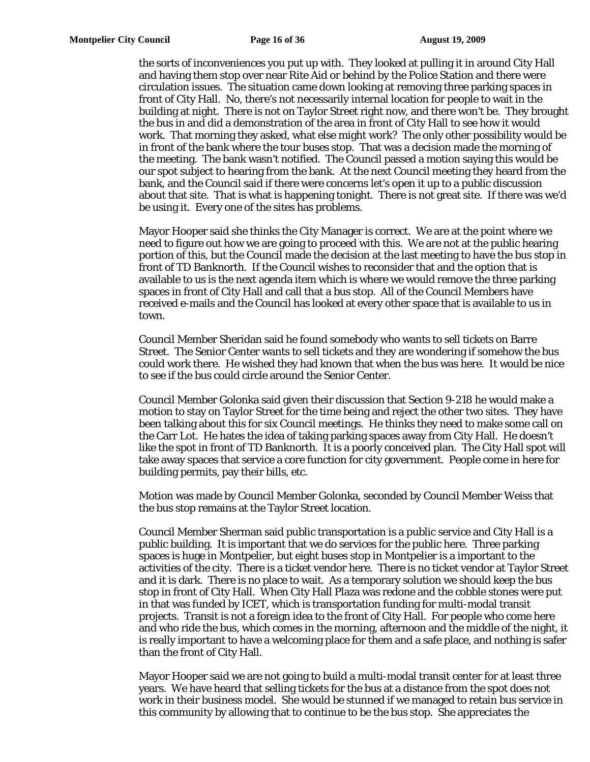the sorts of inconveniences you put up with. They looked at pulling it in around City Hall and having them stop over near Rite Aid or behind by the Police Station and there were circulation issues. The situation came down looking at removing three parking spaces in front of City Hall. No, there's not necessarily internal location for people to wait in the building at night. There is not on Taylor Street right now, and there won't be. They brought the bus in and did a demonstration of the area in front of City Hall to see how it would work. That morning they asked, what else might work? The only other possibility would be in front of the bank where the tour buses stop. That was a decision made the morning of the meeting. The bank wasn't notified. The Council passed a motion saying this would be our spot subject to hearing from the bank. At the next Council meeting they heard from the bank, and the Council said if there were concerns let's open it up to a public discussion about that site. That is what is happening tonight. There is not great site. If there was we'd be using it. Every one of the sites has problems.

Mayor Hooper said she thinks the City Manager is correct. We are at the point where we need to figure out how we are going to proceed with this. We are not at the public hearing portion of this, but the Council made the decision at the last meeting to have the bus stop in front of TD Banknorth. If the Council wishes to reconsider that and the option that is available to us is the next agenda item which is where we would remove the three parking spaces in front of City Hall and call that a bus stop. All of the Council Members have received e-mails and the Council has looked at every other space that is available to us in town.

Council Member Sheridan said he found somebody who wants to sell tickets on Barre Street. The Senior Center wants to sell tickets and they are wondering if somehow the bus could work there. He wished they had known that when the bus was here. It would be nice to see if the bus could circle around the Senior Center.

Council Member Golonka said given their discussion that Section 9-218 he would make a motion to stay on Taylor Street for the time being and reject the other two sites. They have been talking about this for six Council meetings. He thinks they need to make some call on the Carr Lot. He hates the idea of taking parking spaces away from City Hall. He doesn't like the spot in front of TD Banknorth. It is a poorly conceived plan. The City Hall spot will take away spaces that service a core function for city government. People come in here for building permits, pay their bills, etc.

Motion was made by Council Member Golonka, seconded by Council Member Weiss that the bus stop remains at the Taylor Street location.

Council Member Sherman said public transportation is a public service and City Hall is a public building. It is important that we do services for the public here. Three parking spaces is huge in Montpelier, but eight buses stop in Montpelier is a important to the activities of the city. There is a ticket vendor here. There is no ticket vendor at Taylor Street and it is dark. There is no place to wait. As a temporary solution we should keep the bus stop in front of City Hall. When City Hall Plaza was redone and the cobble stones were put in that was funded by ICET, which is transportation funding for multi-modal transit projects. Transit is not a foreign idea to the front of City Hall. For people who come here and who ride the bus, which comes in the morning, afternoon and the middle of the night, it is really important to have a welcoming place for them and a safe place, and nothing is safer than the front of City Hall.

Mayor Hooper said we are not going to build a multi-modal transit center for at least three years. We have heard that selling tickets for the bus at a distance from the spot does not work in their business model. She would be stunned if we managed to retain bus service in this community by allowing that to continue to be the bus stop. She appreciates the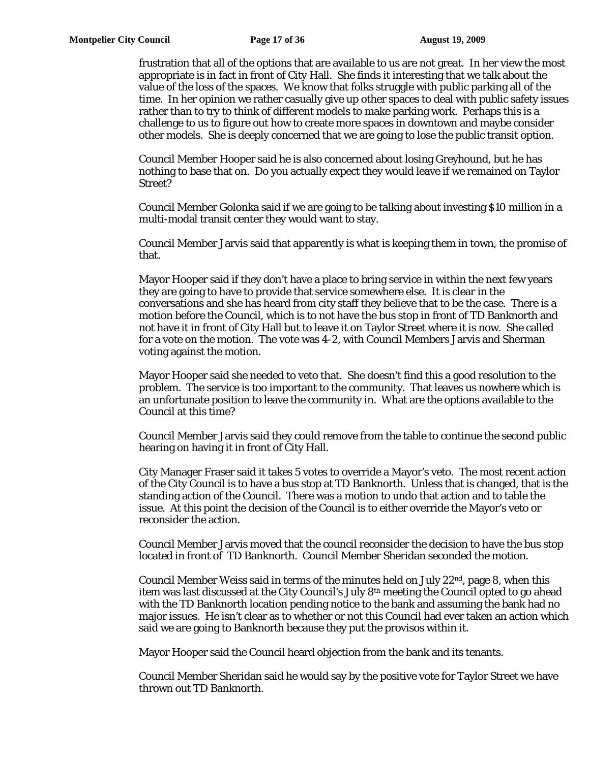frustration that all of the options that are available to us are not great. In her view the most appropriate is in fact in front of City Hall. She finds it interesting that we talk about the value of the loss of the spaces. We know that folks struggle with public parking all of the time. In her opinion we rather casually give up other spaces to deal with public safety issues rather than to try to think of different models to make parking work. Perhaps this is a challenge to us to figure out how to create more spaces in downtown and maybe consider other models. She is deeply concerned that we are going to lose the public transit option.

Council Member Hooper said he is also concerned about losing Greyhound, but he has nothing to base that on. Do you actually expect they would leave if we remained on Taylor Street?

Council Member Golonka said if we are going to be talking about investing \$10 million in a multi-modal transit center they would want to stay.

Council Member Jarvis said that apparently is what is keeping them in town, the promise of that.

Mayor Hooper said if they don't have a place to bring service in within the next few years they are going to have to provide that service somewhere else. It is clear in the conversations and she has heard from city staff they believe that to be the case. There is a motion before the Council, which is to not have the bus stop in front of TD Banknorth and not have it in front of City Hall but to leave it on Taylor Street where it is now. She called for a vote on the motion. The vote was 4-2, with Council Members Jarvis and Sherman voting against the motion.

Mayor Hooper said she needed to veto that. She doesn't find this a good resolution to the problem. The service is too important to the community. That leaves us nowhere which is an unfortunate position to leave the community in. What are the options available to the Council at this time?

Council Member Jarvis said they could remove from the table to continue the second public hearing on having it in front of City Hall.

City Manager Fraser said it takes 5 votes to override a Mayor's veto. The most recent action of the City Council is to have a bus stop at TD Banknorth. Unless that is changed, that is the standing action of the Council. There was a motion to undo that action and to table the issue. At this point the decision of the Council is to either override the Mayor's veto or reconsider the action.

Council Member Jarvis moved that the council reconsider the decision to have the bus stop located in front of TD Banknorth. Council Member Sheridan seconded the motion.

Council Member Weiss said in terms of the minutes held on July  $22<sup>nd</sup>$ , page 8, when this item was last discussed at the City Council's July 8<sup>th</sup> meeting the Council opted to go ahead with the TD Banknorth location pending notice to the bank and assuming the bank had no major issues. He isn't clear as to whether or not this Council had ever taken an action which said we are going to Banknorth because they put the provisos within it.

Mayor Hooper said the Council heard objection from the bank and its tenants.

Council Member Sheridan said he would say by the positive vote for Taylor Street we have thrown out TD Banknorth.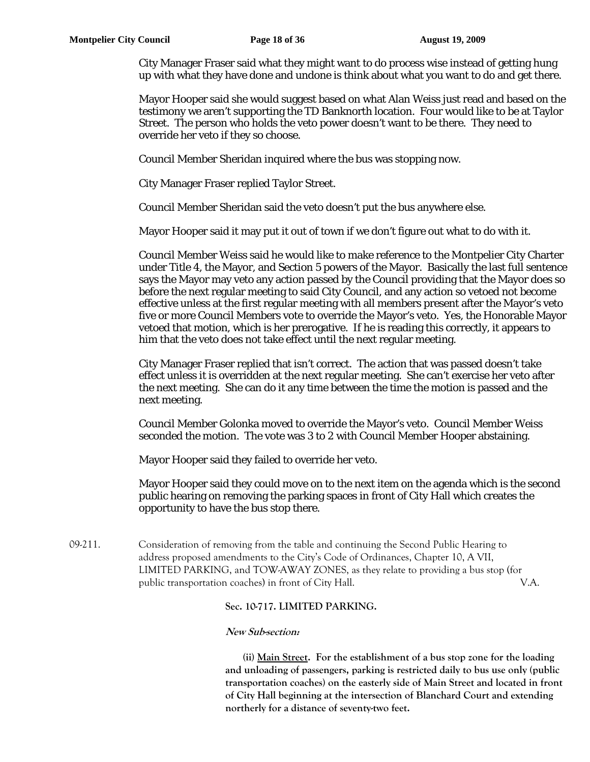City Manager Fraser said what they might want to do process wise instead of getting hung up with what they have done and undone is think about what you want to do and get there.

Mayor Hooper said she would suggest based on what Alan Weiss just read and based on the testimony we aren't supporting the TD Banknorth location. Four would like to be at Taylor Street. The person who holds the veto power doesn't want to be there. They need to override her veto if they so choose.

Council Member Sheridan inquired where the bus was stopping now.

City Manager Fraser replied Taylor Street.

Council Member Sheridan said the veto doesn't put the bus anywhere else.

Mayor Hooper said it may put it out of town if we don't figure out what to do with it.

Council Member Weiss said he would like to make reference to the Montpelier City Charter under Title 4, the Mayor, and Section 5 powers of the Mayor. Basically the last full sentence says the Mayor may veto any action passed by the Council providing that the Mayor does so before the next regular meeting to said City Council, and any action so vetoed not become effective unless at the first regular meeting with all members present after the Mayor's veto five or more Council Members vote to override the Mayor's veto. Yes, the Honorable Mayor vetoed that motion, which is her prerogative. If he is reading this correctly, it appears to him that the veto does not take effect until the next regular meeting.

City Manager Fraser replied that isn't correct. The action that was passed doesn't take effect unless it is overridden at the next regular meeting. She can't exercise her veto after the next meeting. She can do it any time between the time the motion is passed and the next meeting.

Council Member Golonka moved to override the Mayor's veto. Council Member Weiss seconded the motion. The vote was 3 to 2 with Council Member Hooper abstaining.

Mayor Hooper said they failed to override her veto.

Mayor Hooper said they could move on to the next item on the agenda which is the second public hearing on removing the parking spaces in front of City Hall which creates the opportunity to have the bus stop there.

09-211. Consideration of removing from the table and continuing the Second Public Hearing to address proposed amendments to the City's Code of Ordinances, Chapter 10, A VII, LIMITED PARKING, and TOW-AWAY ZONES, as they relate to providing a bus stop (for public transportation coaches) in front of City Hall. V.A.

#### **Sec. 10-717. LIMITED PARKING.**

#### **New Sub-section:**

 **(ii) Main Street. For the establishment of a bus stop zone for the loading and unloading of passengers, parking is restricted daily to bus use only (public transportation coaches) on the easterly side of Main Street and located in front of City Hall beginning at the intersection of Blanchard Court and extending northerly for a distance of seventy-two feet.**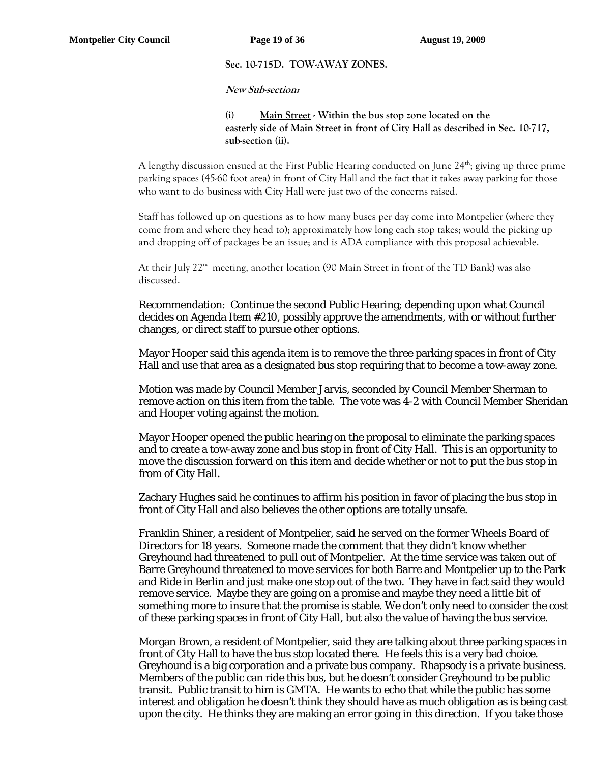## **Sec. 10-715D. TOW-AWAY ZONES.**

#### **New Sub-section:**

**(i) Main Street - Within the bus stop zone located on the easterly side of Main Street in front of City Hall as described in Sec. 10-717, sub-section (ii).** 

A lengthy discussion ensued at the First Public Hearing conducted on June 24<sup>th</sup>; giving up three prime parking spaces (45-60 foot area) in front of City Hall and the fact that it takes away parking for those who want to do business with City Hall were just two of the concerns raised.

Staff has followed up on questions as to how many buses per day come into Montpelier (where they come from and where they head to); approximately how long each stop takes; would the picking up and dropping off of packages be an issue; and is ADA compliance with this proposal achievable.

At their July  $22<sup>nd</sup>$  meeting, another location (90 Main Street in front of the TD Bank) was also discussed.

Recommendation: Continue the second Public Hearing; depending upon what Council decides on Agenda Item #210, possibly approve the amendments, with or without further changes, or direct staff to pursue other options.

Mayor Hooper said this agenda item is to remove the three parking spaces in front of City Hall and use that area as a designated bus stop requiring that to become a tow-away zone.

Motion was made by Council Member Jarvis, seconded by Council Member Sherman to remove action on this item from the table. The vote was 4-2 with Council Member Sheridan and Hooper voting against the motion.

Mayor Hooper opened the public hearing on the proposal to eliminate the parking spaces and to create a tow-away zone and bus stop in front of City Hall. This is an opportunity to move the discussion forward on this item and decide whether or not to put the bus stop in from of City Hall.

Zachary Hughes said he continues to affirm his position in favor of placing the bus stop in front of City Hall and also believes the other options are totally unsafe.

Franklin Shiner, a resident of Montpelier, said he served on the former Wheels Board of Directors for 18 years. Someone made the comment that they didn't know whether Greyhound had threatened to pull out of Montpelier. At the time service was taken out of Barre Greyhound threatened to move services for both Barre and Montpelier up to the Park and Ride in Berlin and just make one stop out of the two. They have in fact said they would remove service. Maybe they are going on a promise and maybe they need a little bit of something more to insure that the promise is stable. We don't only need to consider the cost of these parking spaces in front of City Hall, but also the value of having the bus service.

Morgan Brown, a resident of Montpelier, said they are talking about three parking spaces in front of City Hall to have the bus stop located there. He feels this is a very bad choice. Greyhound is a big corporation and a private bus company. Rhapsody is a private business. Members of the public can ride this bus, but he doesn't consider Greyhound to be public transit. Public transit to him is GMTA. He wants to echo that while the public has some interest and obligation he doesn't think they should have as much obligation as is being cast upon the city. He thinks they are making an error going in this direction. If you take those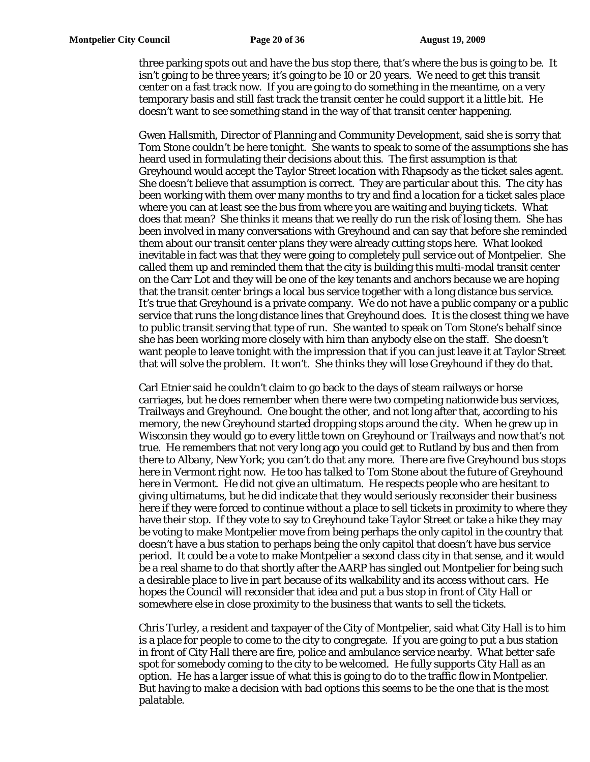three parking spots out and have the bus stop there, that's where the bus is going to be. It isn't going to be three years; it's going to be 10 or 20 years. We need to get this transit center on a fast track now. If you are going to do something in the meantime, on a very temporary basis and still fast track the transit center he could support it a little bit. He doesn't want to see something stand in the way of that transit center happening.

Gwen Hallsmith, Director of Planning and Community Development, said she is sorry that Tom Stone couldn't be here tonight. She wants to speak to some of the assumptions she has heard used in formulating their decisions about this. The first assumption is that Greyhound would accept the Taylor Street location with Rhapsody as the ticket sales agent. She doesn't believe that assumption is correct. They are particular about this. The city has been working with them over many months to try and find a location for a ticket sales place where you can at least see the bus from where you are waiting and buying tickets. What does that mean? She thinks it means that we really do run the risk of losing them. She has been involved in many conversations with Greyhound and can say that before she reminded them about our transit center plans they were already cutting stops here. What looked inevitable in fact was that they were going to completely pull service out of Montpelier. She called them up and reminded them that the city is building this multi-modal transit center on the Carr Lot and they will be one of the key tenants and anchors because we are hoping that the transit center brings a local bus service together with a long distance bus service. It's true that Greyhound is a private company. We do not have a public company or a public service that runs the long distance lines that Greyhound does. It is the closest thing we have to public transit serving that type of run. She wanted to speak on Tom Stone's behalf since she has been working more closely with him than anybody else on the staff. She doesn't want people to leave tonight with the impression that if you can just leave it at Taylor Street that will solve the problem. It won't. She thinks they will lose Greyhound if they do that.

Carl Etnier said he couldn't claim to go back to the days of steam railways or horse carriages, but he does remember when there were two competing nationwide bus services, Trailways and Greyhound. One bought the other, and not long after that, according to his memory, the new Greyhound started dropping stops around the city. When he grew up in Wisconsin they would go to every little town on Greyhound or Trailways and now that's not true. He remembers that not very long ago you could get to Rutland by bus and then from there to Albany, New York; you can't do that any more. There are five Greyhound bus stops here in Vermont right now. He too has talked to Tom Stone about the future of Greyhound here in Vermont. He did not give an ultimatum. He respects people who are hesitant to giving ultimatums, but he did indicate that they would seriously reconsider their business here if they were forced to continue without a place to sell tickets in proximity to where they have their stop. If they vote to say to Greyhound take Taylor Street or take a hike they may be voting to make Montpelier move from being perhaps the only capitol in the country that doesn't have a bus station to perhaps being the only capitol that doesn't have bus service period. It could be a vote to make Montpelier a second class city in that sense, and it would be a real shame to do that shortly after the AARP has singled out Montpelier for being such a desirable place to live in part because of its walkability and its access without cars. He hopes the Council will reconsider that idea and put a bus stop in front of City Hall or somewhere else in close proximity to the business that wants to sell the tickets.

Chris Turley, a resident and taxpayer of the City of Montpelier, said what City Hall is to him is a place for people to come to the city to congregate. If you are going to put a bus station in front of City Hall there are fire, police and ambulance service nearby. What better safe spot for somebody coming to the city to be welcomed. He fully supports City Hall as an option. He has a larger issue of what this is going to do to the traffic flow in Montpelier. But having to make a decision with bad options this seems to be the one that is the most palatable.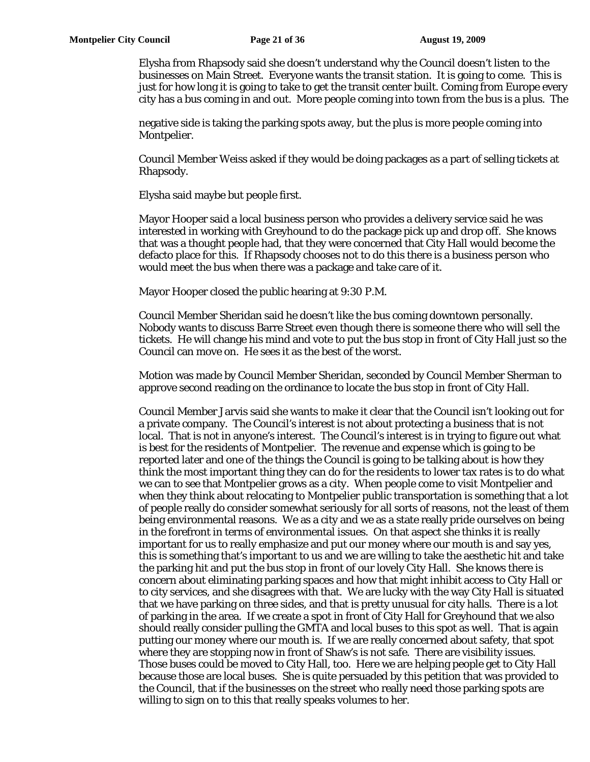Elysha from Rhapsody said she doesn't understand why the Council doesn't listen to the businesses on Main Street. Everyone wants the transit station. It is going to come. This is just for how long it is going to take to get the transit center built. Coming from Europe every city has a bus coming in and out. More people coming into town from the bus is a plus. The

negative side is taking the parking spots away, but the plus is more people coming into Montpelier.

Council Member Weiss asked if they would be doing packages as a part of selling tickets at Rhapsody.

Elysha said maybe but people first.

Mayor Hooper said a local business person who provides a delivery service said he was interested in working with Greyhound to do the package pick up and drop off. She knows that was a thought people had, that they were concerned that City Hall would become the defacto place for this. If Rhapsody chooses not to do this there is a business person who would meet the bus when there was a package and take care of it.

Mayor Hooper closed the public hearing at 9:30 P.M.

Council Member Sheridan said he doesn't like the bus coming downtown personally. Nobody wants to discuss Barre Street even though there is someone there who will sell the tickets. He will change his mind and vote to put the bus stop in front of City Hall just so the Council can move on. He sees it as the best of the worst.

Motion was made by Council Member Sheridan, seconded by Council Member Sherman to approve second reading on the ordinance to locate the bus stop in front of City Hall.

Council Member Jarvis said she wants to make it clear that the Council isn't looking out for a private company. The Council's interest is not about protecting a business that is not local. That is not in anyone's interest. The Council's interest is in trying to figure out what is best for the residents of Montpelier. The revenue and expense which is going to be reported later and one of the things the Council is going to be talking about is how they think the most important thing they can do for the residents to lower tax rates is to do what we can to see that Montpelier grows as a city. When people come to visit Montpelier and when they think about relocating to Montpelier public transportation is something that a lot of people really do consider somewhat seriously for all sorts of reasons, not the least of them being environmental reasons. We as a city and we as a state really pride ourselves on being in the forefront in terms of environmental issues. On that aspect she thinks it is really important for us to really emphasize and put our money where our mouth is and say yes, this is something that's important to us and we are willing to take the aesthetic hit and take the parking hit and put the bus stop in front of our lovely City Hall. She knows there is concern about eliminating parking spaces and how that might inhibit access to City Hall or to city services, and she disagrees with that. We are lucky with the way City Hall is situated that we have parking on three sides, and that is pretty unusual for city halls. There is a lot of parking in the area. If we create a spot in front of City Hall for Greyhound that we also should really consider pulling the GMTA and local buses to this spot as well. That is again putting our money where our mouth is. If we are really concerned about safety, that spot where they are stopping now in front of Shaw's is not safe. There are visibility issues. Those buses could be moved to City Hall, too. Here we are helping people get to City Hall because those are local buses. She is quite persuaded by this petition that was provided to the Council, that if the businesses on the street who really need those parking spots are willing to sign on to this that really speaks volumes to her.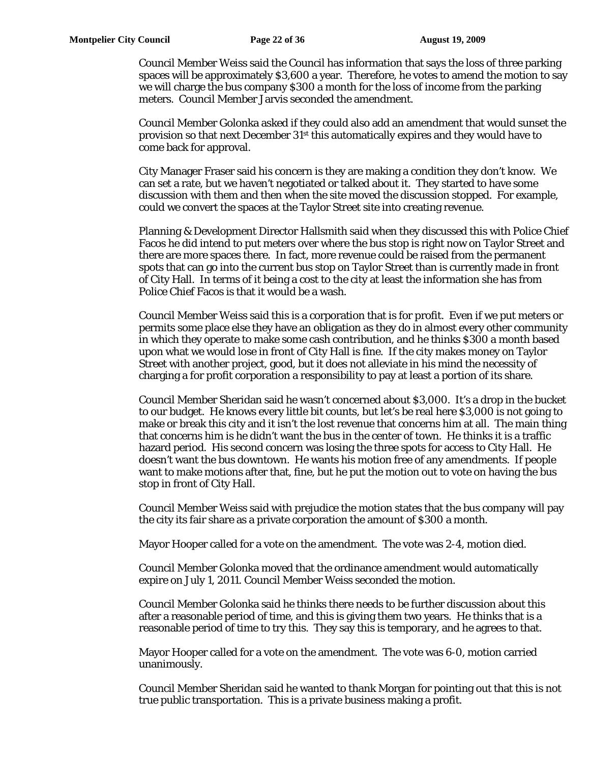Council Member Weiss said the Council has information that says the loss of three parking spaces will be approximately \$3,600 a year. Therefore, he votes to amend the motion to say we will charge the bus company \$300 a month for the loss of income from the parking meters. Council Member Jarvis seconded the amendment.

Council Member Golonka asked if they could also add an amendment that would sunset the provision so that next December 31st this automatically expires and they would have to come back for approval.

City Manager Fraser said his concern is they are making a condition they don't know. We can set a rate, but we haven't negotiated or talked about it. They started to have some discussion with them and then when the site moved the discussion stopped. For example, could we convert the spaces at the Taylor Street site into creating revenue.

Planning & Development Director Hallsmith said when they discussed this with Police Chief Facos he did intend to put meters over where the bus stop is right now on Taylor Street and there are more spaces there. In fact, more revenue could be raised from the permanent spots that can go into the current bus stop on Taylor Street than is currently made in front of City Hall. In terms of it being a cost to the city at least the information she has from Police Chief Facos is that it would be a wash.

Council Member Weiss said this is a corporation that is for profit. Even if we put meters or permits some place else they have an obligation as they do in almost every other community in which they operate to make some cash contribution, and he thinks \$300 a month based upon what we would lose in front of City Hall is fine. If the city makes money on Taylor Street with another project, good, but it does not alleviate in his mind the necessity of charging a for profit corporation a responsibility to pay at least a portion of its share.

Council Member Sheridan said he wasn't concerned about \$3,000. It's a drop in the bucket to our budget. He knows every little bit counts, but let's be real here \$3,000 is not going to make or break this city and it isn't the lost revenue that concerns him at all. The main thing that concerns him is he didn't want the bus in the center of town. He thinks it is a traffic hazard period. His second concern was losing the three spots for access to City Hall. He doesn't want the bus downtown. He wants his motion free of any amendments. If people want to make motions after that, fine, but he put the motion out to vote on having the bus stop in front of City Hall.

Council Member Weiss said with prejudice the motion states that the bus company will pay the city its fair share as a private corporation the amount of \$300 a month.

Mayor Hooper called for a vote on the amendment. The vote was 2-4, motion died.

Council Member Golonka moved that the ordinance amendment would automatically expire on July 1, 2011. Council Member Weiss seconded the motion.

Council Member Golonka said he thinks there needs to be further discussion about this after a reasonable period of time, and this is giving them two years. He thinks that is a reasonable period of time to try this. They say this is temporary, and he agrees to that.

Mayor Hooper called for a vote on the amendment. The vote was 6-0, motion carried unanimously.

Council Member Sheridan said he wanted to thank Morgan for pointing out that this is not true public transportation. This is a private business making a profit.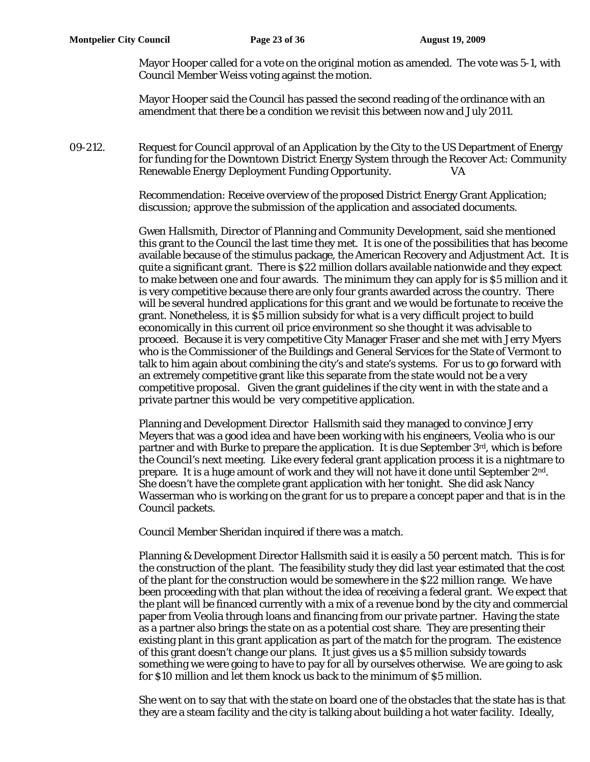Mayor Hooper called for a vote on the original motion as amended. The vote was 5-1, with Council Member Weiss voting against the motion.

Mayor Hooper said the Council has passed the second reading of the ordinance with an amendment that there be a condition we revisit this between now and July 2011.

09-212. Request for Council approval of an Application by the City to the US Department of Energy for funding for the Downtown District Energy System through the Recover Act: Community Renewable Energy Deployment Funding Opportunity.

> Recommendation: Receive overview of the proposed District Energy Grant Application; discussion; approve the submission of the application and associated documents.

Gwen Hallsmith, Director of Planning and Community Development, said she mentioned this grant to the Council the last time they met. It is one of the possibilities that has become available because of the stimulus package, the American Recovery and Adjustment Act. It is quite a significant grant. There is \$22 million dollars available nationwide and they expect to make between one and four awards. The minimum they can apply for is \$5 million and it is very competitive because there are only four grants awarded across the country. There will be several hundred applications for this grant and we would be fortunate to receive the grant. Nonetheless, it is \$5 million subsidy for what is a very difficult project to build economically in this current oil price environment so she thought it was advisable to proceed. Because it is very competitive City Manager Fraser and she met with Jerry Myers who is the Commissioner of the Buildings and General Services for the State of Vermont to talk to him again about combining the city's and state's systems. For us to go forward with an extremely competitive grant like this separate from the state would not be a very competitive proposal. Given the grant guidelines if the city went in with the state and a private partner this would be very competitive application.

Planning and Development Director Hallsmith said they managed to convince Jerry Meyers that was a good idea and have been working with his engineers, Veolia who is our partner and with Burke to prepare the application. It is due September  $3<sup>rd</sup>$ , which is before the Council's next meeting. Like every federal grant application process it is a nightmare to prepare. It is a huge amount of work and they will not have it done until September  $2<sup>nd</sup>$ . She doesn't have the complete grant application with her tonight. She did ask Nancy Wasserman who is working on the grant for us to prepare a concept paper and that is in the Council packets.

Council Member Sheridan inquired if there was a match.

Planning & Development Director Hallsmith said it is easily a 50 percent match. This is for the construction of the plant. The feasibility study they did last year estimated that the cost of the plant for the construction would be somewhere in the \$22 million range. We have been proceeding with that plan without the idea of receiving a federal grant. We expect that the plant will be financed currently with a mix of a revenue bond by the city and commercial paper from Veolia through loans and financing from our private partner. Having the state as a partner also brings the state on as a potential cost share. They are presenting their existing plant in this grant application as part of the match for the program. The existence of this grant doesn't change our plans. It just gives us a \$5 million subsidy towards something we were going to have to pay for all by ourselves otherwise. We are going to ask for \$10 million and let them knock us back to the minimum of \$5 million.

She went on to say that with the state on board one of the obstacles that the state has is that they are a steam facility and the city is talking about building a hot water facility. Ideally,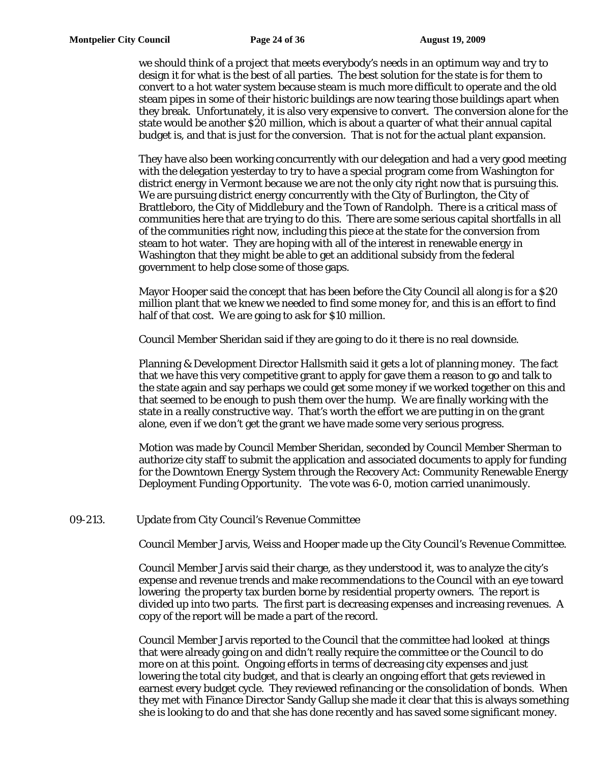we should think of a project that meets everybody's needs in an optimum way and try to design it for what is the best of all parties. The best solution for the state is for them to convert to a hot water system because steam is much more difficult to operate and the old steam pipes in some of their historic buildings are now tearing those buildings apart when they break. Unfortunately, it is also very expensive to convert. The conversion alone for the state would be another \$20 million, which is about a quarter of what their annual capital budget is, and that is just for the conversion. That is not for the actual plant expansion.

They have also been working concurrently with our delegation and had a very good meeting with the delegation yesterday to try to have a special program come from Washington for district energy in Vermont because we are not the only city right now that is pursuing this. We are pursuing district energy concurrently with the City of Burlington, the City of Brattleboro, the City of Middlebury and the Town of Randolph. There is a critical mass of communities here that are trying to do this. There are some serious capital shortfalls in all of the communities right now, including this piece at the state for the conversion from steam to hot water. They are hoping with all of the interest in renewable energy in Washington that they might be able to get an additional subsidy from the federal government to help close some of those gaps.

Mayor Hooper said the concept that has been before the City Council all along is for a \$20 million plant that we knew we needed to find some money for, and this is an effort to find half of that cost. We are going to ask for \$10 million.

Council Member Sheridan said if they are going to do it there is no real downside.

Planning & Development Director Hallsmith said it gets a lot of planning money. The fact that we have this very competitive grant to apply for gave them a reason to go and talk to the state again and say perhaps we could get some money if we worked together on this and that seemed to be enough to push them over the hump. We are finally working with the state in a really constructive way. That's worth the effort we are putting in on the grant alone, even if we don't get the grant we have made some very serious progress.

Motion was made by Council Member Sheridan, seconded by Council Member Sherman to authorize city staff to submit the application and associated documents to apply for funding for the Downtown Energy System through the Recovery Act: Community Renewable Energy Deployment Funding Opportunity. The vote was 6-0, motion carried unanimously.

# 09-213. Update from City Council's Revenue Committee

Council Member Jarvis, Weiss and Hooper made up the City Council's Revenue Committee.

Council Member Jarvis said their charge, as they understood it, was to analyze the city's expense and revenue trends and make recommendations to the Council with an eye toward lowering the property tax burden borne by residential property owners. The report is divided up into two parts. The first part is decreasing expenses and increasing revenues. A copy of the report will be made a part of the record.

Council Member Jarvis reported to the Council that the committee had looked at things that were already going on and didn't really require the committee or the Council to do more on at this point. Ongoing efforts in terms of decreasing city expenses and just lowering the total city budget, and that is clearly an ongoing effort that gets reviewed in earnest every budget cycle. They reviewed refinancing or the consolidation of bonds. When they met with Finance Director Sandy Gallup she made it clear that this is always something she is looking to do and that she has done recently and has saved some significant money.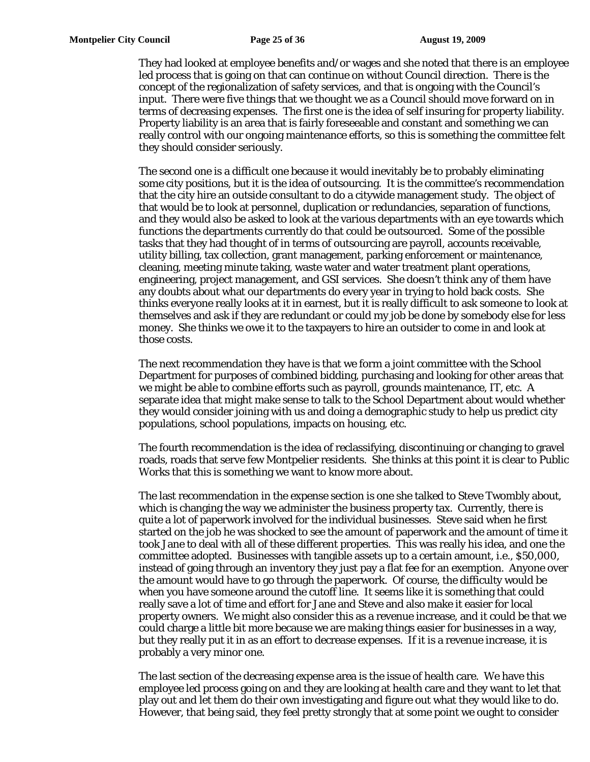They had looked at employee benefits and/or wages and she noted that there is an employee led process that is going on that can continue on without Council direction. There is the concept of the regionalization of safety services, and that is ongoing with the Council's input. There were five things that we thought we as a Council should move forward on in terms of decreasing expenses. The first one is the idea of self insuring for property liability. Property liability is an area that is fairly foreseeable and constant and something we can really control with our ongoing maintenance efforts, so this is something the committee felt they should consider seriously.

The second one is a difficult one because it would inevitably be to probably eliminating some city positions, but it is the idea of outsourcing. It is the committee's recommendation that the city hire an outside consultant to do a citywide management study. The object of that would be to look at personnel, duplication or redundancies, separation of functions, and they would also be asked to look at the various departments with an eye towards which functions the departments currently do that could be outsourced. Some of the possible tasks that they had thought of in terms of outsourcing are payroll, accounts receivable, utility billing, tax collection, grant management, parking enforcement or maintenance, cleaning, meeting minute taking, waste water and water treatment plant operations, engineering, project management, and GSI services. She doesn't think any of them have any doubts about what our departments do every year in trying to hold back costs. She thinks everyone really looks at it in earnest, but it is really difficult to ask someone to look at themselves and ask if they are redundant or could my job be done by somebody else for less money. She thinks we owe it to the taxpayers to hire an outsider to come in and look at those costs.

The next recommendation they have is that we form a joint committee with the School Department for purposes of combined bidding, purchasing and looking for other areas that we might be able to combine efforts such as payroll, grounds maintenance, IT, etc. A separate idea that might make sense to talk to the School Department about would whether they would consider joining with us and doing a demographic study to help us predict city populations, school populations, impacts on housing, etc.

The fourth recommendation is the idea of reclassifying, discontinuing or changing to gravel roads, roads that serve few Montpelier residents. She thinks at this point it is clear to Public Works that this is something we want to know more about.

The last recommendation in the expense section is one she talked to Steve Twombly about, which is changing the way we administer the business property tax. Currently, there is quite a lot of paperwork involved for the individual businesses. Steve said when he first started on the job he was shocked to see the amount of paperwork and the amount of time it took Jane to deal with all of these different properties. This was really his idea, and one the committee adopted. Businesses with tangible assets up to a certain amount, i.e., \$50,000, instead of going through an inventory they just pay a flat fee for an exemption. Anyone over the amount would have to go through the paperwork. Of course, the difficulty would be when you have someone around the cutoff line. It seems like it is something that could really save a lot of time and effort for Jane and Steve and also make it easier for local property owners. We might also consider this as a revenue increase, and it could be that we could charge a little bit more because we are making things easier for businesses in a way, but they really put it in as an effort to decrease expenses. If it is a revenue increase, it is probably a very minor one.

The last section of the decreasing expense area is the issue of health care. We have this employee led process going on and they are looking at health care and they want to let that play out and let them do their own investigating and figure out what they would like to do. However, that being said, they feel pretty strongly that at some point we ought to consider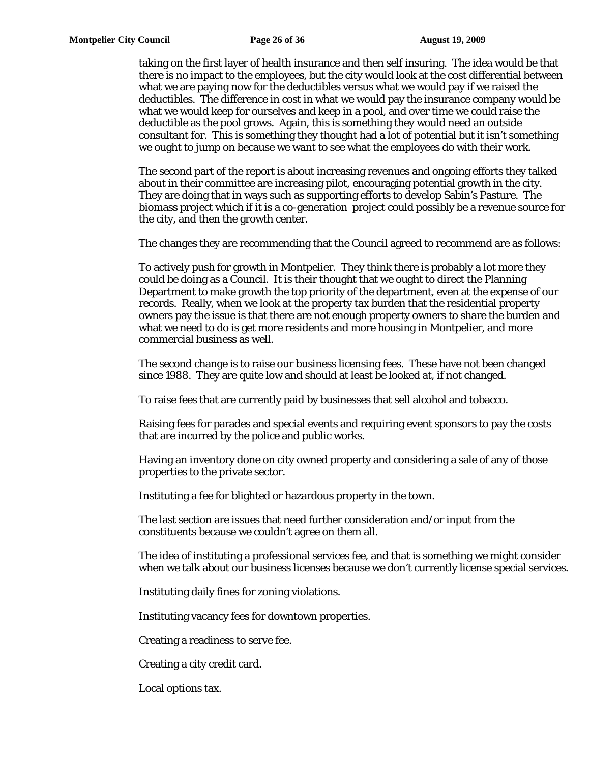taking on the first layer of health insurance and then self insuring. The idea would be that there is no impact to the employees, but the city would look at the cost differential between what we are paying now for the deductibles versus what we would pay if we raised the deductibles. The difference in cost in what we would pay the insurance company would be what we would keep for ourselves and keep in a pool, and over time we could raise the deductible as the pool grows. Again, this is something they would need an outside consultant for. This is something they thought had a lot of potential but it isn't something we ought to jump on because we want to see what the employees do with their work.

The second part of the report is about increasing revenues and ongoing efforts they talked about in their committee are increasing pilot, encouraging potential growth in the city. They are doing that in ways such as supporting efforts to develop Sabin's Pasture. The biomass project which if it is a co-generation project could possibly be a revenue source for the city, and then the growth center.

The changes they are recommending that the Council agreed to recommend are as follows:

To actively push for growth in Montpelier. They think there is probably a lot more they could be doing as a Council. It is their thought that we ought to direct the Planning Department to make growth the top priority of the department, even at the expense of our records. Really, when we look at the property tax burden that the residential property owners pay the issue is that there are not enough property owners to share the burden and what we need to do is get more residents and more housing in Montpelier, and more commercial business as well.

The second change is to raise our business licensing fees. These have not been changed since 1988. They are quite low and should at least be looked at, if not changed.

To raise fees that are currently paid by businesses that sell alcohol and tobacco.

Raising fees for parades and special events and requiring event sponsors to pay the costs that are incurred by the police and public works.

Having an inventory done on city owned property and considering a sale of any of those properties to the private sector.

Instituting a fee for blighted or hazardous property in the town.

The last section are issues that need further consideration and/or input from the constituents because we couldn't agree on them all.

The idea of instituting a professional services fee, and that is something we might consider when we talk about our business licenses because we don't currently license special services.

Instituting daily fines for zoning violations.

Instituting vacancy fees for downtown properties.

Creating a readiness to serve fee.

Creating a city credit card.

Local options tax.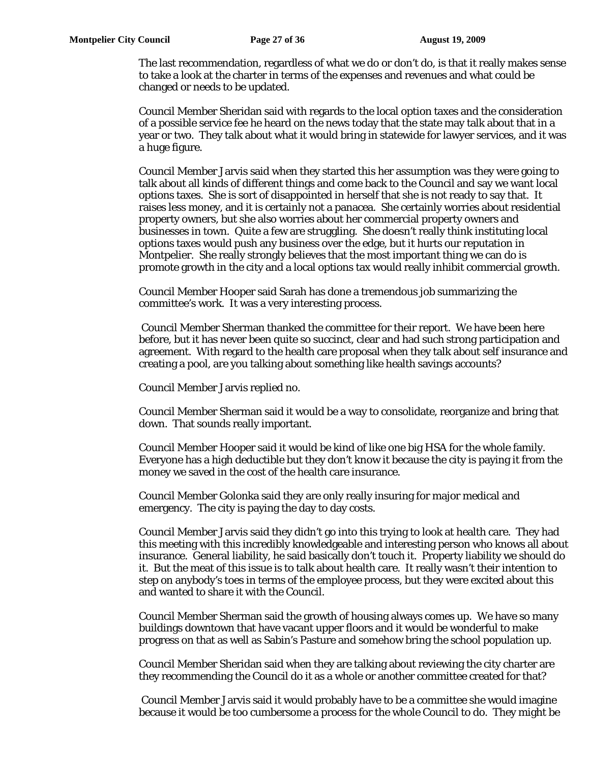The last recommendation, regardless of what we do or don't do, is that it really makes sense to take a look at the charter in terms of the expenses and revenues and what could be changed or needs to be updated.

Council Member Sheridan said with regards to the local option taxes and the consideration of a possible service fee he heard on the news today that the state may talk about that in a year or two. They talk about what it would bring in statewide for lawyer services, and it was a huge figure.

Council Member Jarvis said when they started this her assumption was they were going to talk about all kinds of different things and come back to the Council and say we want local options taxes. She is sort of disappointed in herself that she is not ready to say that. It raises less money, and it is certainly not a panacea. She certainly worries about residential property owners, but she also worries about her commercial property owners and businesses in town. Quite a few are struggling. She doesn't really think instituting local options taxes would push any business over the edge, but it hurts our reputation in Montpelier. She really strongly believes that the most important thing we can do is promote growth in the city and a local options tax would really inhibit commercial growth.

Council Member Hooper said Sarah has done a tremendous job summarizing the committee's work. It was a very interesting process.

 Council Member Sherman thanked the committee for their report. We have been here before, but it has never been quite so succinct, clear and had such strong participation and agreement. With regard to the health care proposal when they talk about self insurance and creating a pool, are you talking about something like health savings accounts?

Council Member Jarvis replied no.

Council Member Sherman said it would be a way to consolidate, reorganize and bring that down. That sounds really important.

Council Member Hooper said it would be kind of like one big HSA for the whole family. Everyone has a high deductible but they don't know it because the city is paying it from the money we saved in the cost of the health care insurance.

Council Member Golonka said they are only really insuring for major medical and emergency. The city is paying the day to day costs.

Council Member Jarvis said they didn't go into this trying to look at health care. They had this meeting with this incredibly knowledgeable and interesting person who knows all about insurance. General liability, he said basically don't touch it. Property liability we should do it. But the meat of this issue is to talk about health care. It really wasn't their intention to step on anybody's toes in terms of the employee process, but they were excited about this and wanted to share it with the Council.

Council Member Sherman said the growth of housing always comes up. We have so many buildings downtown that have vacant upper floors and it would be wonderful to make progress on that as well as Sabin's Pasture and somehow bring the school population up.

Council Member Sheridan said when they are talking about reviewing the city charter are they recommending the Council do it as a whole or another committee created for that?

 Council Member Jarvis said it would probably have to be a committee she would imagine because it would be too cumbersome a process for the whole Council to do. They might be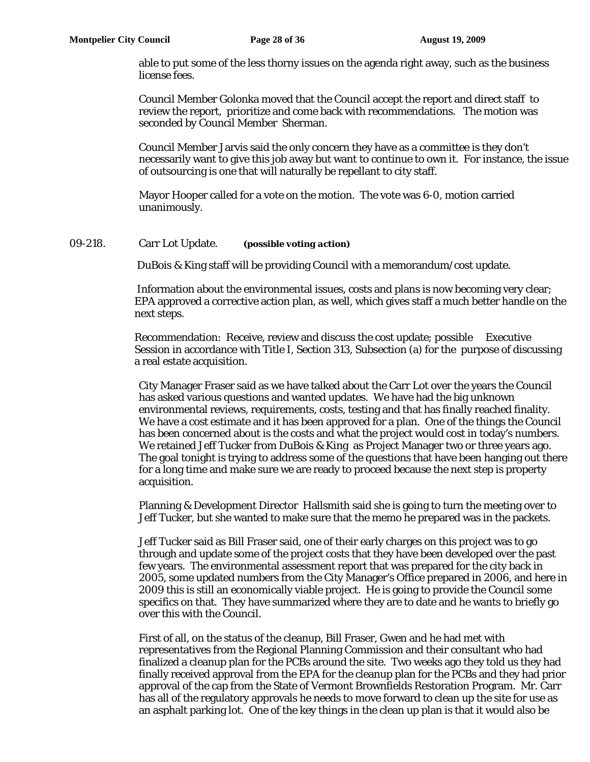able to put some of the less thorny issues on the agenda right away, such as the business license fees.

Council Member Golonka moved that the Council accept the report and direct staff to review the report, prioritize and come back with recommendations. The motion was seconded by Council Member Sherman.

Council Member Jarvis said the only concern they have as a committee is they don't necessarily want to give this job away but want to continue to own it. For instance, the issue of outsourcing is one that will naturally be repellant to city staff.

Mayor Hooper called for a vote on the motion. The vote was 6-0, motion carried unanimously.

## 09-218. Carr Lot Update. *(possible voting action)*

DuBois & King staff will be providing Council with a memorandum/cost update.

 Information about the environmental issues, costs and plans is now becoming very clear; EPA approved a corrective action plan, as well, which gives staff a much better handle on the next steps.

Recommendation: Receive, review and discuss the cost update; possible Executive Session in accordance with Title I, Section 313, Subsection (a) for the purpose of discussing a real estate acquisition.

City Manager Fraser said as we have talked about the Carr Lot over the years the Council has asked various questions and wanted updates. We have had the big unknown environmental reviews, requirements, costs, testing and that has finally reached finality. We have a cost estimate and it has been approved for a plan. One of the things the Council has been concerned about is the costs and what the project would cost in today's numbers. We retained Jeff Tucker from DuBois & King as Project Manager two or three years ago. The goal tonight is trying to address some of the questions that have been hanging out there for a long time and make sure we are ready to proceed because the next step is property acquisition.

Planning & Development Director Hallsmith said she is going to turn the meeting over to Jeff Tucker, but she wanted to make sure that the memo he prepared was in the packets.

Jeff Tucker said as Bill Fraser said, one of their early charges on this project was to go through and update some of the project costs that they have been developed over the past few years. The environmental assessment report that was prepared for the city back in 2005, some updated numbers from the City Manager's Office prepared in 2006, and here in 2009 this is still an economically viable project. He is going to provide the Council some specifics on that. They have summarized where they are to date and he wants to briefly go over this with the Council.

First of all, on the status of the cleanup, Bill Fraser, Gwen and he had met with representatives from the Regional Planning Commission and their consultant who had finalized a cleanup plan for the PCBs around the site. Two weeks ago they told us they had finally received approval from the EPA for the cleanup plan for the PCBs and they had prior approval of the cap from the State of Vermont Brownfields Restoration Program. Mr. Carr has all of the regulatory approvals he needs to move forward to clean up the site for use as an asphalt parking lot. One of the key things in the clean up plan is that it would also be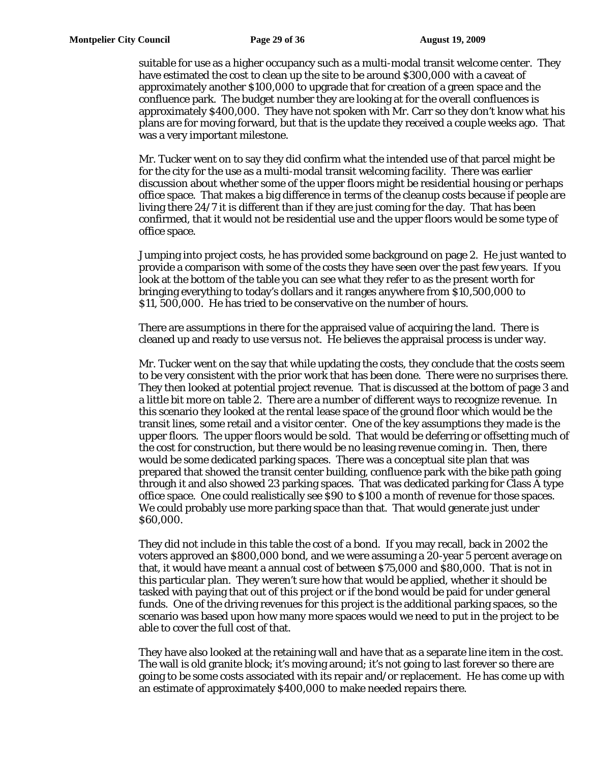suitable for use as a higher occupancy such as a multi-modal transit welcome center. They have estimated the cost to clean up the site to be around \$300,000 with a caveat of approximately another \$100,000 to upgrade that for creation of a green space and the confluence park. The budget number they are looking at for the overall confluences is approximately \$400,000. They have not spoken with Mr. Carr so they don't know what his plans are for moving forward, but that is the update they received a couple weeks ago. That was a very important milestone.

Mr. Tucker went on to say they did confirm what the intended use of that parcel might be for the city for the use as a multi-modal transit welcoming facility. There was earlier discussion about whether some of the upper floors might be residential housing or perhaps office space. That makes a big difference in terms of the cleanup costs because if people are living there 24/7 it is different than if they are just coming for the day. That has been confirmed, that it would not be residential use and the upper floors would be some type of office space.

Jumping into project costs, he has provided some background on page 2. He just wanted to provide a comparison with some of the costs they have seen over the past few years. If you look at the bottom of the table you can see what they refer to as the present worth for bringing everything to today's dollars and it ranges anywhere from \$10,500,000 to \$11, 500,000. He has tried to be conservative on the number of hours.

There are assumptions in there for the appraised value of acquiring the land. There is cleaned up and ready to use versus not. He believes the appraisal process is under way.

Mr. Tucker went on the say that while updating the costs, they conclude that the costs seem to be very consistent with the prior work that has been done. There were no surprises there. They then looked at potential project revenue. That is discussed at the bottom of page 3 and a little bit more on table 2. There are a number of different ways to recognize revenue. In this scenario they looked at the rental lease space of the ground floor which would be the transit lines, some retail and a visitor center. One of the key assumptions they made is the upper floors. The upper floors would be sold. That would be deferring or offsetting much of the cost for construction, but there would be no leasing revenue coming in. Then, there would be some dedicated parking spaces. There was a conceptual site plan that was prepared that showed the transit center building, confluence park with the bike path going through it and also showed 23 parking spaces. That was dedicated parking for Class A type office space. One could realistically see \$90 to \$100 a month of revenue for those spaces. We could probably use more parking space than that. That would generate just under \$60,000.

They did not include in this table the cost of a bond. If you may recall, back in 2002 the voters approved an \$800,000 bond, and we were assuming a 20-year 5 percent average on that, it would have meant a annual cost of between \$75,000 and \$80,000. That is not in this particular plan. They weren't sure how that would be applied, whether it should be tasked with paying that out of this project or if the bond would be paid for under general funds. One of the driving revenues for this project is the additional parking spaces, so the scenario was based upon how many more spaces would we need to put in the project to be able to cover the full cost of that.

They have also looked at the retaining wall and have that as a separate line item in the cost. The wall is old granite block; it's moving around; it's not going to last forever so there are going to be some costs associated with its repair and/or replacement. He has come up with an estimate of approximately \$400,000 to make needed repairs there.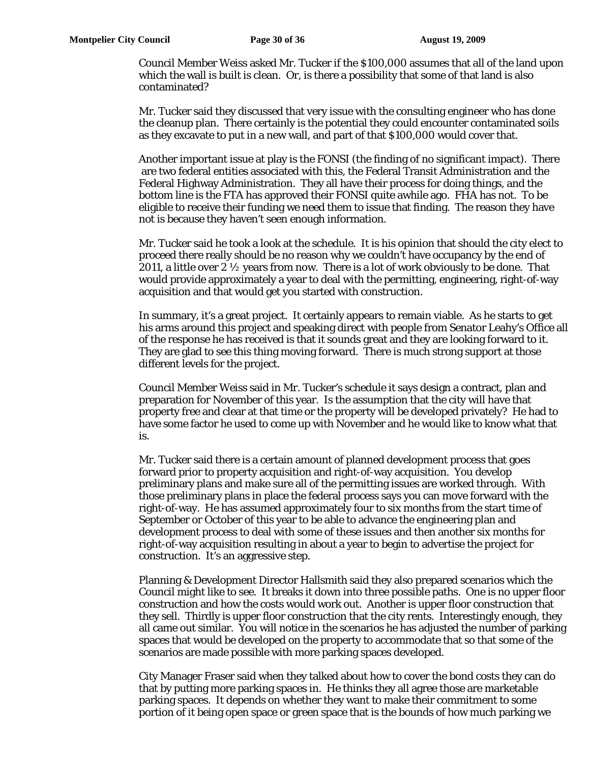Council Member Weiss asked Mr. Tucker if the \$100,000 assumes that all of the land upon which the wall is built is clean. Or, is there a possibility that some of that land is also contaminated?

Mr. Tucker said they discussed that very issue with the consulting engineer who has done the cleanup plan. There certainly is the potential they could encounter contaminated soils as they excavate to put in a new wall, and part of that \$100,000 would cover that.

Another important issue at play is the FONSI (the finding of no significant impact). There are two federal entities associated with this, the Federal Transit Administration and the Federal Highway Administration. They all have their process for doing things, and the bottom line is the FTA has approved their FONSI quite awhile ago. FHA has not. To be eligible to receive their funding we need them to issue that finding. The reason they have not is because they haven't seen enough information.

Mr. Tucker said he took a look at the schedule. It is his opinion that should the city elect to proceed there really should be no reason why we couldn't have occupancy by the end of 2011, a little over 2  $\frac{1}{2}$  years from now. There is a lot of work obviously to be done. That would provide approximately a year to deal with the permitting, engineering, right-of-way acquisition and that would get you started with construction.

In summary, it's a great project. It certainly appears to remain viable. As he starts to get his arms around this project and speaking direct with people from Senator Leahy's Office all of the response he has received is that it sounds great and they are looking forward to it. They are glad to see this thing moving forward. There is much strong support at those different levels for the project.

Council Member Weiss said in Mr. Tucker's schedule it says design a contract, plan and preparation for November of this year. Is the assumption that the city will have that property free and clear at that time or the property will be developed privately? He had to have some factor he used to come up with November and he would like to know what that is.

Mr. Tucker said there is a certain amount of planned development process that goes forward prior to property acquisition and right-of-way acquisition. You develop preliminary plans and make sure all of the permitting issues are worked through. With those preliminary plans in place the federal process says you can move forward with the right-of-way. He has assumed approximately four to six months from the start time of September or October of this year to be able to advance the engineering plan and development process to deal with some of these issues and then another six months for right-of-way acquisition resulting in about a year to begin to advertise the project for construction. It's an aggressive step.

Planning & Development Director Hallsmith said they also prepared scenarios which the Council might like to see. It breaks it down into three possible paths. One is no upper floor construction and how the costs would work out. Another is upper floor construction that they sell. Thirdly is upper floor construction that the city rents. Interestingly enough, they all came out similar. You will notice in the scenarios he has adjusted the number of parking spaces that would be developed on the property to accommodate that so that some of the scenarios are made possible with more parking spaces developed.

City Manager Fraser said when they talked about how to cover the bond costs they can do that by putting more parking spaces in. He thinks they all agree those are marketable parking spaces. It depends on whether they want to make their commitment to some portion of it being open space or green space that is the bounds of how much parking we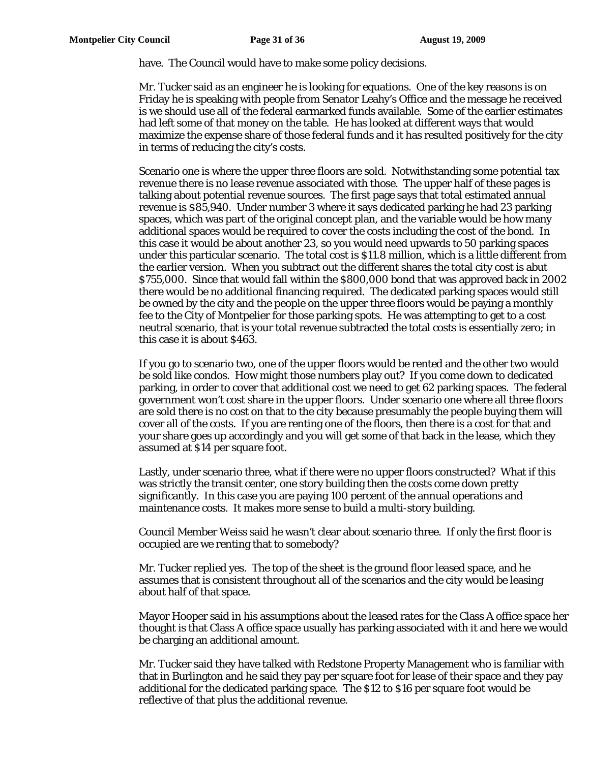have. The Council would have to make some policy decisions.

Mr. Tucker said as an engineer he is looking for equations. One of the key reasons is on Friday he is speaking with people from Senator Leahy's Office and the message he received is we should use all of the federal earmarked funds available. Some of the earlier estimates had left some of that money on the table. He has looked at different ways that would maximize the expense share of those federal funds and it has resulted positively for the city in terms of reducing the city's costs.

Scenario one is where the upper three floors are sold. Notwithstanding some potential tax revenue there is no lease revenue associated with those. The upper half of these pages is talking about potential revenue sources. The first page says that total estimated annual revenue is \$85,940. Under number 3 where it says dedicated parking he had 23 parking spaces, which was part of the original concept plan, and the variable would be how many additional spaces would be required to cover the costs including the cost of the bond. In this case it would be about another 23, so you would need upwards to 50 parking spaces under this particular scenario. The total cost is \$11.8 million, which is a little different from the earlier version. When you subtract out the different shares the total city cost is abut \$755,000. Since that would fall within the \$800,000 bond that was approved back in 2002 there would be no additional financing required. The dedicated parking spaces would still be owned by the city and the people on the upper three floors would be paying a monthly fee to the City of Montpelier for those parking spots. He was attempting to get to a cost neutral scenario, that is your total revenue subtracted the total costs is essentially zero; in this case it is about \$463.

If you go to scenario two, one of the upper floors would be rented and the other two would be sold like condos. How might those numbers play out? If you come down to dedicated parking, in order to cover that additional cost we need to get 62 parking spaces. The federal government won't cost share in the upper floors. Under scenario one where all three floors are sold there is no cost on that to the city because presumably the people buying them will cover all of the costs. If you are renting one of the floors, then there is a cost for that and your share goes up accordingly and you will get some of that back in the lease, which they assumed at \$14 per square foot.

Lastly, under scenario three, what if there were no upper floors constructed? What if this was strictly the transit center, one story building then the costs come down pretty significantly. In this case you are paying 100 percent of the annual operations and maintenance costs. It makes more sense to build a multi-story building.

Council Member Weiss said he wasn't clear about scenario three. If only the first floor is occupied are we renting that to somebody?

Mr. Tucker replied yes. The top of the sheet is the ground floor leased space, and he assumes that is consistent throughout all of the scenarios and the city would be leasing about half of that space.

Mayor Hooper said in his assumptions about the leased rates for the Class A office space her thought is that Class A office space usually has parking associated with it and here we would be charging an additional amount.

Mr. Tucker said they have talked with Redstone Property Management who is familiar with that in Burlington and he said they pay per square foot for lease of their space and they pay additional for the dedicated parking space. The \$12 to \$16 per square foot would be reflective of that plus the additional revenue.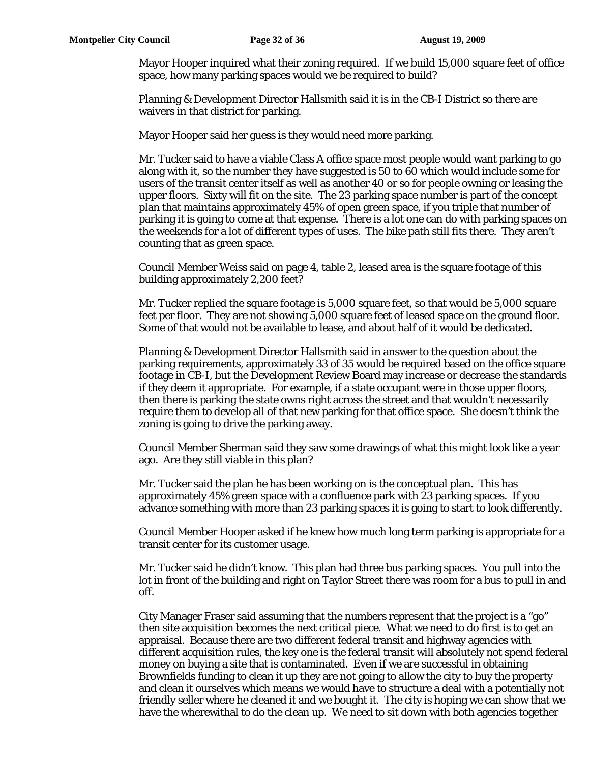Mayor Hooper inquired what their zoning required. If we build 15,000 square feet of office space, how many parking spaces would we be required to build?

Planning & Development Director Hallsmith said it is in the CB-I District so there are waivers in that district for parking.

Mayor Hooper said her guess is they would need more parking.

Mr. Tucker said to have a viable Class A office space most people would want parking to go along with it, so the number they have suggested is 50 to 60 which would include some for users of the transit center itself as well as another 40 or so for people owning or leasing the upper floors. Sixty will fit on the site. The 23 parking space number is part of the concept plan that maintains approximately 45% of open green space, if you triple that number of parking it is going to come at that expense. There is a lot one can do with parking spaces on the weekends for a lot of different types of uses. The bike path still fits there. They aren't counting that as green space.

Council Member Weiss said on page 4, table 2, leased area is the square footage of this building approximately 2,200 feet?

Mr. Tucker replied the square footage is 5,000 square feet, so that would be 5,000 square feet per floor. They are not showing 5,000 square feet of leased space on the ground floor. Some of that would not be available to lease, and about half of it would be dedicated.

Planning & Development Director Hallsmith said in answer to the question about the parking requirements, approximately 33 of 35 would be required based on the office square footage in CB-I, but the Development Review Board may increase or decrease the standards if they deem it appropriate. For example, if a state occupant were in those upper floors, then there is parking the state owns right across the street and that wouldn't necessarily require them to develop all of that new parking for that office space. She doesn't think the zoning is going to drive the parking away.

Council Member Sherman said they saw some drawings of what this might look like a year ago. Are they still viable in this plan?

Mr. Tucker said the plan he has been working on is the conceptual plan. This has approximately 45% green space with a confluence park with 23 parking spaces. If you advance something with more than 23 parking spaces it is going to start to look differently.

Council Member Hooper asked if he knew how much long term parking is appropriate for a transit center for its customer usage.

Mr. Tucker said he didn't know. This plan had three bus parking spaces. You pull into the lot in front of the building and right on Taylor Street there was room for a bus to pull in and off.

City Manager Fraser said assuming that the numbers represent that the project is a "go" then site acquisition becomes the next critical piece. What we need to do first is to get an appraisal. Because there are two different federal transit and highway agencies with different acquisition rules, the key one is the federal transit will absolutely not spend federal money on buying a site that is contaminated. Even if we are successful in obtaining Brownfields funding to clean it up they are not going to allow the city to buy the property and clean it ourselves which means we would have to structure a deal with a potentially not friendly seller where he cleaned it and we bought it. The city is hoping we can show that we have the wherewithal to do the clean up. We need to sit down with both agencies together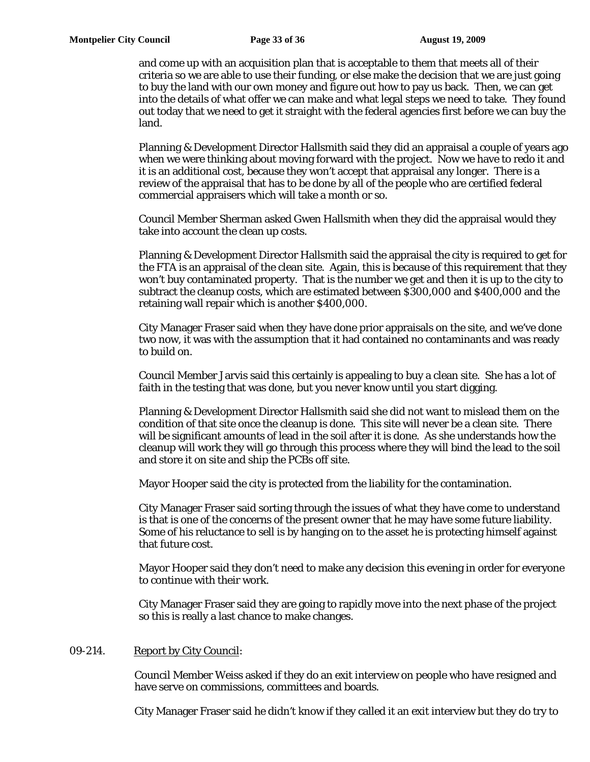and come up with an acquisition plan that is acceptable to them that meets all of their criteria so we are able to use their funding, or else make the decision that we are just going to buy the land with our own money and figure out how to pay us back. Then, we can get into the details of what offer we can make and what legal steps we need to take. They found out today that we need to get it straight with the federal agencies first before we can buy the land.

Planning & Development Director Hallsmith said they did an appraisal a couple of years ago when we were thinking about moving forward with the project. Now we have to redo it and it is an additional cost, because they won't accept that appraisal any longer. There is a review of the appraisal that has to be done by all of the people who are certified federal commercial appraisers which will take a month or so.

Council Member Sherman asked Gwen Hallsmith when they did the appraisal would they take into account the clean up costs.

Planning & Development Director Hallsmith said the appraisal the city is required to get for the FTA is an appraisal of the clean site. Again, this is because of this requirement that they won't buy contaminated property. That is the number we get and then it is up to the city to subtract the cleanup costs, which are estimated between \$300,000 and \$400,000 and the retaining wall repair which is another \$400,000.

City Manager Fraser said when they have done prior appraisals on the site, and we've done two now, it was with the assumption that it had contained no contaminants and was ready to build on.

Council Member Jarvis said this certainly is appealing to buy a clean site. She has a lot of faith in the testing that was done, but you never know until you start digging.

Planning & Development Director Hallsmith said she did not want to mislead them on the condition of that site once the cleanup is done. This site will never be a clean site. There will be significant amounts of lead in the soil after it is done. As she understands how the cleanup will work they will go through this process where they will bind the lead to the soil and store it on site and ship the PCBs off site.

Mayor Hooper said the city is protected from the liability for the contamination.

City Manager Fraser said sorting through the issues of what they have come to understand is that is one of the concerns of the present owner that he may have some future liability. Some of his reluctance to sell is by hanging on to the asset he is protecting himself against that future cost.

Mayor Hooper said they don't need to make any decision this evening in order for everyone to continue with their work.

City Manager Fraser said they are going to rapidly move into the next phase of the project so this is really a last chance to make changes.

# 09-214. Report by City Council:

Council Member Weiss asked if they do an exit interview on people who have resigned and have serve on commissions, committees and boards.

City Manager Fraser said he didn't know if they called it an exit interview but they do try to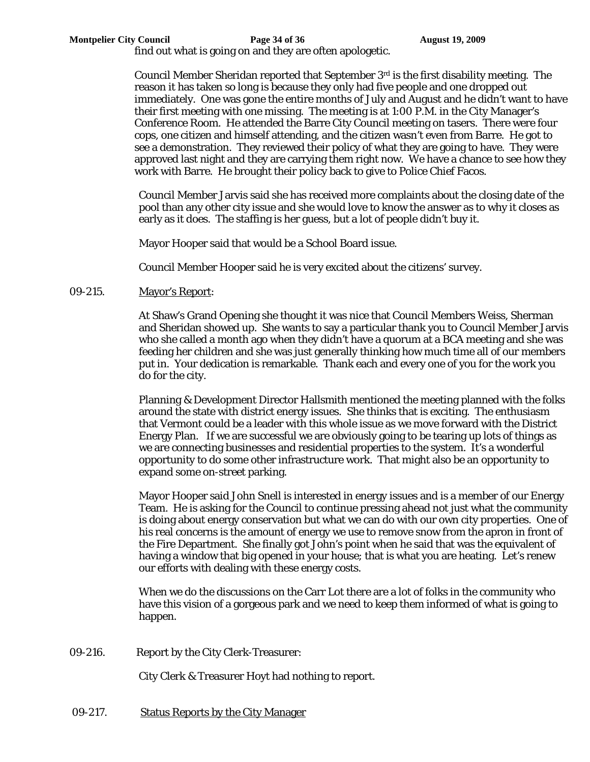find out what is going on and they are often apologetic.

Council Member Sheridan reported that September 3rd is the first disability meeting. The reason it has taken so long is because they only had five people and one dropped out immediately. One was gone the entire months of July and August and he didn't want to have their first meeting with one missing. The meeting is at 1:00 P.M. in the City Manager's Conference Room. He attended the Barre City Council meeting on tasers. There were four cops, one citizen and himself attending, and the citizen wasn't even from Barre. He got to see a demonstration. They reviewed their policy of what they are going to have. They were approved last night and they are carrying them right now. We have a chance to see how they work with Barre. He brought their policy back to give to Police Chief Facos.

Council Member Jarvis said she has received more complaints about the closing date of the pool than any other city issue and she would love to know the answer as to why it closes as early as it does. The staffing is her guess, but a lot of people didn't buy it.

Mayor Hooper said that would be a School Board issue.

Council Member Hooper said he is very excited about the citizens' survey.

## 09-215. Mayor's Report:

At Shaw's Grand Opening she thought it was nice that Council Members Weiss, Sherman and Sheridan showed up. She wants to say a particular thank you to Council Member Jarvis who she called a month ago when they didn't have a quorum at a BCA meeting and she was feeding her children and she was just generally thinking how much time all of our members put in. Your dedication is remarkable. Thank each and every one of you for the work you do for the city.

Planning & Development Director Hallsmith mentioned the meeting planned with the folks around the state with district energy issues. She thinks that is exciting. The enthusiasm that Vermont could be a leader with this whole issue as we move forward with the District Energy Plan. If we are successful we are obviously going to be tearing up lots of things as we are connecting businesses and residential properties to the system. It's a wonderful opportunity to do some other infrastructure work. That might also be an opportunity to expand some on-street parking.

Mayor Hooper said John Snell is interested in energy issues and is a member of our Energy Team. He is asking for the Council to continue pressing ahead not just what the community is doing about energy conservation but what we can do with our own city properties. One of his real concerns is the amount of energy we use to remove snow from the apron in front of the Fire Department. She finally got John's point when he said that was the equivalent of having a window that big opened in your house; that is what you are heating. Let's renew our efforts with dealing with these energy costs.

When we do the discussions on the Carr Lot there are a lot of folks in the community who have this vision of a gorgeous park and we need to keep them informed of what is going to happen.

09-216. Report by the City Clerk-Treasurer:

City Clerk & Treasurer Hoyt had nothing to report.

09-217. Status Reports by the City Manager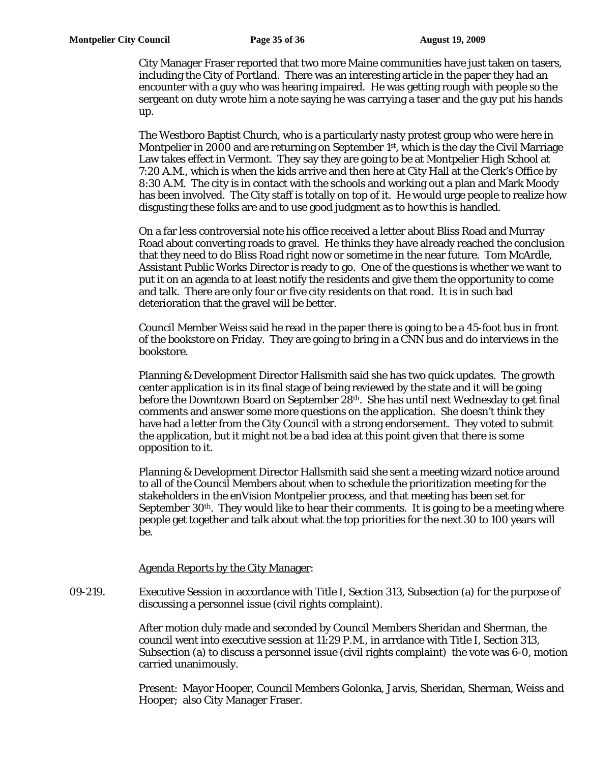City Manager Fraser reported that two more Maine communities have just taken on tasers, including the City of Portland. There was an interesting article in the paper they had an encounter with a guy who was hearing impaired. He was getting rough with people so the sergeant on duty wrote him a note saying he was carrying a taser and the guy put his hands up.

The Westboro Baptist Church, who is a particularly nasty protest group who were here in Montpelier in 2000 and are returning on September  $1<sup>st</sup>$ , which is the day the Civil Marriage Law takes effect in Vermont. They say they are going to be at Montpelier High School at 7:20 A.M., which is when the kids arrive and then here at City Hall at the Clerk's Office by 8:30 A.M. The city is in contact with the schools and working out a plan and Mark Moody has been involved. The City staff is totally on top of it. He would urge people to realize how disgusting these folks are and to use good judgment as to how this is handled.

On a far less controversial note his office received a letter about Bliss Road and Murray Road about converting roads to gravel. He thinks they have already reached the conclusion that they need to do Bliss Road right now or sometime in the near future. Tom McArdle, Assistant Public Works Director is ready to go. One of the questions is whether we want to put it on an agenda to at least notify the residents and give them the opportunity to come and talk. There are only four or five city residents on that road. It is in such bad deterioration that the gravel will be better.

Council Member Weiss said he read in the paper there is going to be a 45-foot bus in front of the bookstore on Friday. They are going to bring in a CNN bus and do interviews in the bookstore.

Planning & Development Director Hallsmith said she has two quick updates. The growth center application is in its final stage of being reviewed by the state and it will be going before the Downtown Board on September 28th. She has until next Wednesday to get final comments and answer some more questions on the application. She doesn't think they have had a letter from the City Council with a strong endorsement. They voted to submit the application, but it might not be a bad idea at this point given that there is some opposition to it.

Planning & Development Director Hallsmith said she sent a meeting wizard notice around to all of the Council Members about when to schedule the prioritization meeting for the stakeholders in the enVision Montpelier process, and that meeting has been set for September  $30<sup>th</sup>$ . They would like to hear their comments. It is going to be a meeting where people get together and talk about what the top priorities for the next 30 to 100 years will be.

#### Agenda Reports by the City Manager:

09-219. Executive Session in accordance with Title I, Section 313, Subsection (a) for the purpose of discussing a personnel issue (civil rights complaint).

> After motion duly made and seconded by Council Members Sheridan and Sherman, the council went into executive session at 11:29 P.M., in arrdance with Title I, Section 313, Subsection (a) to discuss a personnel issue (civil rights complaint) the vote was 6-0, motion carried unanimously.

> Present: Mayor Hooper, Council Members Golonka, Jarvis, Sheridan, Sherman, Weiss and Hooper; also City Manager Fraser.